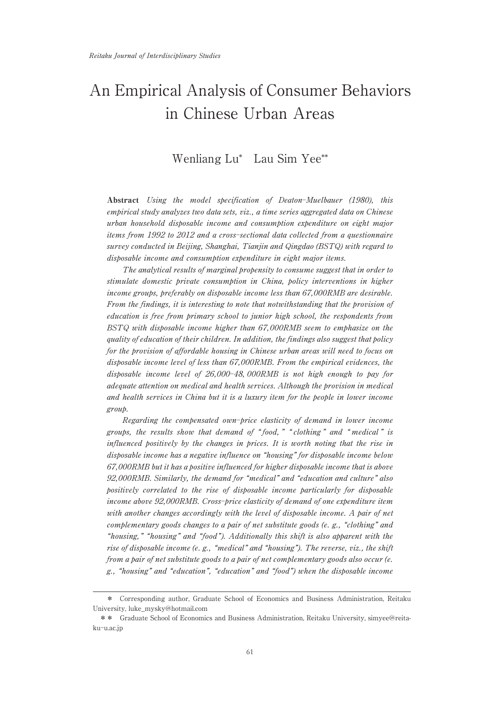# An Empirical Analysis of Consumer Behaviors in Chinese Urban Areas

# Wenliang Lu\* Lau Sim Yee\*\*

Abstract Using the model specification of Deaton-Muelbauer (1980), this empirical study analyzes two data sets, viz., a time series aggregated data on Chinese urban household disposable income and consumption expenditure on eight major items from 1992 to 2012 and a cross-sectional data collected from a questionnaire survey conducted in Beijing, Shanghai, Tianjin and Qingdao (BSTQ) with regard to disposable income and consumption expenditure in eight major items.

The analytical results of marginal propensity to consume suggest that in order to stimulate domestic private consumption in China, policy interventions in higher income groups, preferably on disposable income less than 67,000RMB are desirable. From the findings, it is interesting to note that notwithstanding that the provision of education is free from primary school to junior high school, the respondents from BSTQ with disposable income higher than 67,000RMB seem to emphasize on the quality of education of their children. In addition, the findings also suggest that policy for the provision of affordable housing in Chinese urban areas will need to focus on disposable income level of less than 67,000RMB. From the empirical evidences, the disposable income level of 26,000-48, 000RMB is not high enough to pay for adequate attention on medical and health services. Although the provision in medical and health services in China but it is a luxury item for the people in lower income group.

Regarding the compensated own-price elasticity of demand in lower income groups, the results show that demand of "food," " clothing" and " medical" is influenced positively by the changes in prices. It is worth noting that the rise in disposable income has a negative influence on "housing" for disposable income below 67,000RMB but it has a positive influenced for higher disposable income that is above 92,000RMB. Similarly, the demand for "medical" and "education and culture" also positively correlated to the rise of disposable income particularly for disposable income above 92,000RMB. Cross-price elasticity of demand of one expenditure item with another changes accordingly with the level of disposable income. A pair of net complementary goods changes to a pair of net substitute goods (e. g., "clothing" and "housing," "housing" and "food"). Additionally this shift is also apparent with the rise of disposable income (e. g., "medical" and "housing"). The reverse, viz., the shift from a pair of net substitute goods to a pair of net complementary goods also occur (e. g., "housing" and "education", "education" and "food") when the disposable income

<sup>\*</sup> Corresponding author, Graduate School of Economics and Business Administration, Reitaku University, luke\_mysky@hotmail.com

<sup>\*\*</sup> Graduate School of Economics and Business Administration, Reitaku University, simyee@reitaku-u.ac.jp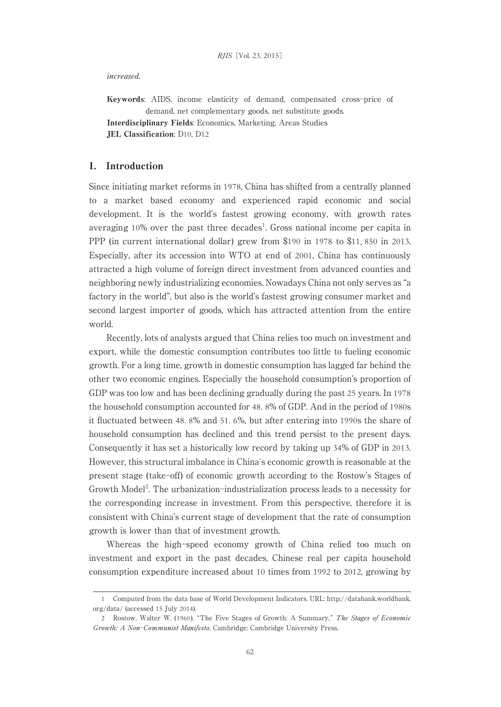#### increased.

Keywords: AIDS, income elasticity of demand, compensated cross-price of demand, net complementary goods, net substitute goods. Interdisciplinary Fields: Economics, Marketing, Areas Studies JEL Classification: D10, D12

# 1. Introduction

Since initiating market reforms in 1978, China has shifted from a centrally planned to a market based economy and experienced rapid economic and social development. It is the world's fastest growing economy, with growth rates averaging  $10\%$  over the past three decades<sup>1</sup>. Gross national income per capita in PPP (in current international dollar) grew from \$190 in 1978 to \$11, 850 in 2013. Especially, after its accession into WTO at end of 2001, China has continuously attracted a high volume of foreign direct investment from advanced counties and neighboring newly industrializing economies. Nowadays China not only serves as "a factory in the world", but also is the world's fastest growing consumer market and second largest importer of goods, which has attracted attention from the entire world.

Recently, lots of analysts argued that China relies too much on investment and export, while the domestic consumption contributes too little to fueling economic growth. For a long time, growth in domestic consumption has lagged far behind the other two economic engines. Especially the household consumption's proportion of GDP was too low and has been declining gradually during the past 25 years. In 1978 the household consumption accounted for 48. 8% of GDP. And in the period of 1980s it fluctuated between 48. 8% and 51. 6%, but after entering into 1990s the share of household consumption has declined and this trend persist to the present days. Consequently it has set a historically low record by taking up 34% of GDP in 2013. However, this structural imbalance in China`s economic growth is reasonable at the present stage (take-off) of economic growth according to the Rostow's Stages of Growth Model<sup>2</sup>. The urbanization-industrialization process leads to a necessity for the corresponding increase in investment. From this perspective, therefore it is consistent with China's current stage of development that the rate of consumption growth is lower than that of investment growth.

Whereas the high-speed economy growth of China relied too much on investment and export in the past decades, Chinese real per capita household consumption expenditure increased about 10 times from 1992 to 2012, growing by

<sup>1</sup> Computed from the data base of World Development Indicators. URL: http://databank.worldbank. org/data/ (accessed 15 July 2014).

<sup>2</sup> Rostow, Walter W. (1960). "The Five Stages of Growth: A Summary," The Stages of Economic Growth: A Non-Communist Manifesto, Cambridge: Cambridge University Press.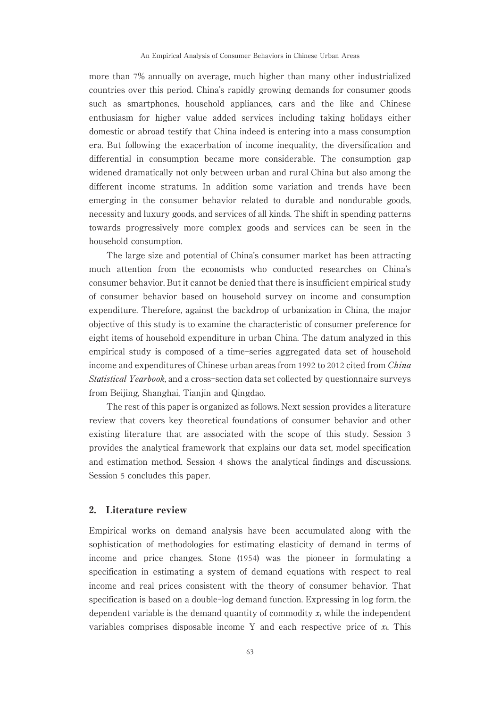more than 7% annually on average, much higher than many other industrialized countries over this period. China's rapidly growing demands for consumer goods such as smartphones, household appliances, cars and the like and Chinese enthusiasm for higher value added services including taking holidays either domestic or abroad testify that China indeed is entering into a mass consumption era. But following the exacerbation of income inequality, the diversification and differential in consumption became more considerable. The consumption gap widened dramatically not only between urban and rural China but also among the different income stratums. In addition some variation and trends have been emerging in the consumer behavior related to durable and nondurable goods, necessity and luxury goods, and services of all kinds. The shift in spending patterns towards progressively more complex goods and services can be seen in the household consumption.

The large size and potential of China's consumer market has been attracting much attention from the economists who conducted researches on China's consumer behavior. But it cannot be denied that there is insufficient empirical study of consumer behavior based on household survey on income and consumption expenditure. Therefore, against the backdrop of urbanization in China, the major objective of this study is to examine the characteristic of consumer preference for eight items of household expenditure in urban China. The datum analyzed in this empirical study is composed of a time-series aggregated data set of household income and expenditures of Chinese urban areas from 1992 to 2012 cited from China Statistical Yearbook, and a cross-section data set collected by questionnaire surveys from Beijing, Shanghai, Tianjin and Qingdao.

The rest of this paper is organized as follows. Next session provides a literature review that covers key theoretical foundations of consumer behavior and other existing literature that are associated with the scope of this study. Session 3 provides the analytical framework that explains our data set, model specification and estimation method. Session 4 shows the analytical findings and discussions. Session 5 concludes this paper.

## 2. Literature review

Empirical works on demand analysis have been accumulated along with the sophistication of methodologies for estimating elasticity of demand in terms of income and price changes. Stone (1954) was the pioneer in formulating a specification in estimating a system of demand equations with respect to real income and real prices consistent with the theory of consumer behavior. That specification is based on a double-log demand function. Expressing in log form, the dependent variable is the demand quantity of commodity  $x_i$  while the independent variables comprises disposable income Y and each respective price of  $x_i$ . This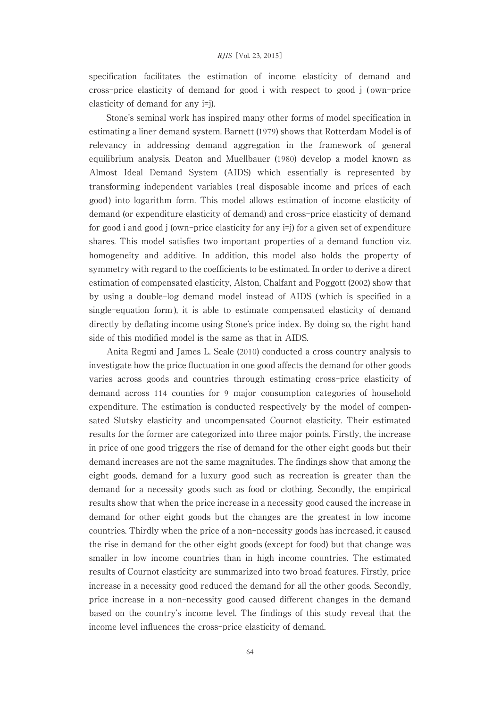specification facilitates the estimation of income elasticity of demand and cross-price elasticity of demand for good i with respect to good j ( own-price elasticity of demand for any i=j).

Stone's seminal work has inspired many other forms of model specification in estimating a liner demand system. Barnett (1979) shows that Rotterdam Model is of relevancy in addressing demand aggregation in the framework of general equilibrium analysis. Deaton and Muellbauer (1980) develop a model known as Almost Ideal Demand System (AIDS) which essentially is represented by transforming independent variables ( real disposable income and prices of each good ) into logarithm form. This model allows estimation of income elasticity of demand (or expenditure elasticity of demand) and cross-price elasticity of demand for good i and good j (own-price elasticity for any i=j) for a given set of expenditure shares. This model satisfies two important properties of a demand function viz. homogeneity and additive. In addition, this model also holds the property of symmetry with regard to the coefficients to be estimated. In order to derive a direct estimation of compensated elasticity, Alston, Chalfant and Poggott (2002) show that by using a double-log demand model instead of AIDS ( which is specified in a single-equation form ), it is able to estimate compensated elasticity of demand directly by deflating income using Stone's price index. By doing so, the right hand side of this modified model is the same as that in AIDS.

Anita Regmi and James L. Seale (2010) conducted a cross country analysis to investigate how the price fluctuation in one good affects the demand for other goods varies across goods and countries through estimating cross-price elasticity of demand across 114 counties for 9 major consumption categories of household expenditure. The estimation is conducted respectively by the model of compensated Slutsky elasticity and uncompensated Cournot elasticity. Their estimated results for the former are categorized into three major points. Firstly, the increase in price of one good triggers the rise of demand for the other eight goods but their demand increases are not the same magnitudes. The findings show that among the eight goods, demand for a luxury good such as recreation is greater than the demand for a necessity goods such as food or clothing. Secondly, the empirical results show that when the price increase in a necessity good caused the increase in demand for other eight goods but the changes are the greatest in low income countries. Thirdly when the price of a non-necessity goods has increased, it caused the rise in demand for the other eight goods (except for food) but that change was smaller in low income countries than in high income countries. The estimated results of Cournot elasticity are summarized into two broad features. Firstly, price increase in a necessity good reduced the demand for all the other goods. Secondly, price increase in a non-necessity good caused different changes in the demand based on the country's income level. The findings of this study reveal that the income level influences the cross-price elasticity of demand.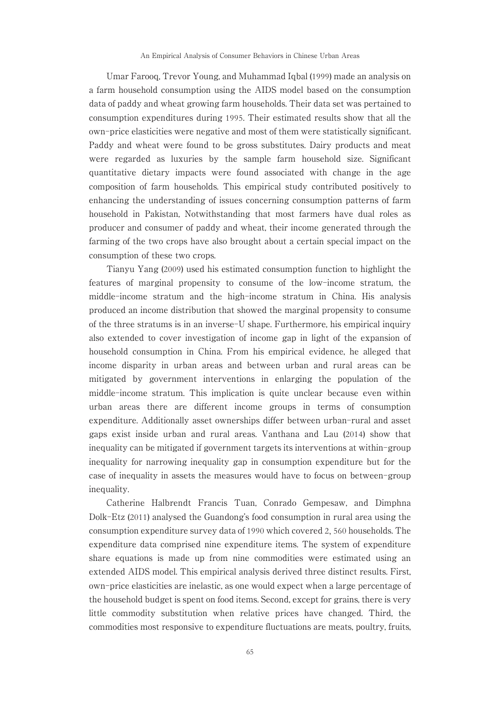Umar Farooq, Trevor Young, and Muhammad Iqbal (1999) made an analysis on a farm household consumption using the AIDS model based on the consumption data of paddy and wheat growing farm households. Their data set was pertained to consumption expenditures during 1995. Their estimated results show that all the own-price elasticities were negative and most of them were statistically significant. Paddy and wheat were found to be gross substitutes. Dairy products and meat were regarded as luxuries by the sample farm household size. Significant quantitative dietary impacts were found associated with change in the age composition of farm households. This empirical study contributed positively to enhancing the understanding of issues concerning consumption patterns of farm household in Pakistan, Notwithstanding that most farmers have dual roles as producer and consumer of paddy and wheat, their income generated through the farming of the two crops have also brought about a certain special impact on the consumption of these two crops.

Tianyu Yang (2009) used his estimated consumption function to highlight the features of marginal propensity to consume of the low-income stratum, the middle-income stratum and the high-income stratum in China. His analysis produced an income distribution that showed the marginal propensity to consume of the three stratums is in an inverse-U shape. Furthermore, his empirical inquiry also extended to cover investigation of income gap in light of the expansion of household consumption in China. From his empirical evidence, he alleged that income disparity in urban areas and between urban and rural areas can be mitigated by government interventions in enlarging the population of the middle-income stratum. This implication is quite unclear because even within urban areas there are different income groups in terms of consumption expenditure. Additionally asset ownerships differ between urban-rural and asset gaps exist inside urban and rural areas. Vanthana and Lau (2014) show that inequality can be mitigated if government targets its interventions at within-group inequality for narrowing inequality gap in consumption expenditure but for the case of inequality in assets the measures would have to focus on between-group inequality.

Catherine Halbrendt Francis Tuan, Conrado Gempesaw, and Dimphna Dolk-Etz (2011) analysed the Guandong's food consumption in rural area using the consumption expenditure survey data of 1990 which covered 2, 560 households. The expenditure data comprised nine expenditure items. The system of expenditure share equations is made up from nine commodities were estimated using an extended AIDS model. This empirical analysis derived three distinct results. First, own-price elasticities are inelastic, as one would expect when a large percentage of the household budget is spent on food items. Second, except for grains, there is very little commodity substitution when relative prices have changed. Third, the commodities most responsive to expenditure fluctuations are meats, poultry, fruits,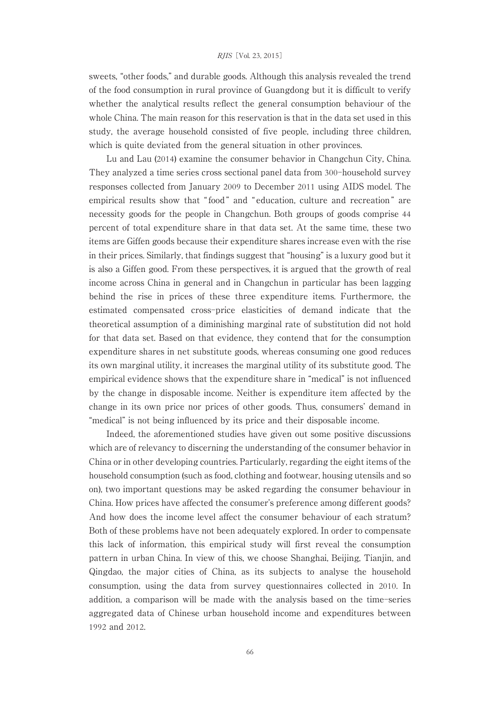#### RJIS[Vol. 23, 2015]

sweets, "other foods," and durable goods. Although this analysis revealed the trend of the food consumption in rural province of Guangdong but it is difficult to verify whether the analytical results reflect the general consumption behaviour of the whole China. The main reason for this reservation is that in the data set used in this study, the average household consisted of five people, including three children, which is quite deviated from the general situation in other provinces.

Lu and Lau (2014) examine the consumer behavior in Changchun City, China. They analyzed a time series cross sectional panel data from 300-household survey responses collected from January 2009 to December 2011 using AIDS model. The empirical results show that " food " and " education, culture and recreation " are necessity goods for the people in Changchun. Both groups of goods comprise 44 percent of total expenditure share in that data set. At the same time, these two items are Giffen goods because their expenditure shares increase even with the rise in their prices. Similarly, that findings suggest that "housing" is a luxury good but it is also a Giffen good. From these perspectives, it is argued that the growth of real income across China in general and in Changchun in particular has been lagging behind the rise in prices of these three expenditure items. Furthermore, the estimated compensated cross-price elasticities of demand indicate that the theoretical assumption of a diminishing marginal rate of substitution did not hold for that data set. Based on that evidence, they contend that for the consumption expenditure shares in net substitute goods, whereas consuming one good reduces its own marginal utility, it increases the marginal utility of its substitute good. The empirical evidence shows that the expenditure share in "medical" is not influenced by the change in disposable income. Neither is expenditure item affected by the change in its own price nor prices of other goods. Thus, consumers' demand in "medical" is not being influenced by its price and their disposable income.

Indeed, the aforementioned studies have given out some positive discussions which are of relevancy to discerning the understanding of the consumer behavior in China or in other developing countries. Particularly, regarding the eight items of the household consumption (such as food, clothing and footwear, housing utensils and so on), two important questions may be asked regarding the consumer behaviour in China. How prices have affected the consumer's preference among different goods? And how does the income level affect the consumer behaviour of each stratum? Both of these problems have not been adequately explored. In order to compensate this lack of information, this empirical study will first reveal the consumption pattern in urban China. In view of this, we choose Shanghai, Beijing, Tianjin, and Qingdao, the major cities of China, as its subjects to analyse the household consumption, using the data from survey questionnaires collected in 2010. In addition, a comparison will be made with the analysis based on the time-series aggregated data of Chinese urban household income and expenditures between 1992 and 2012.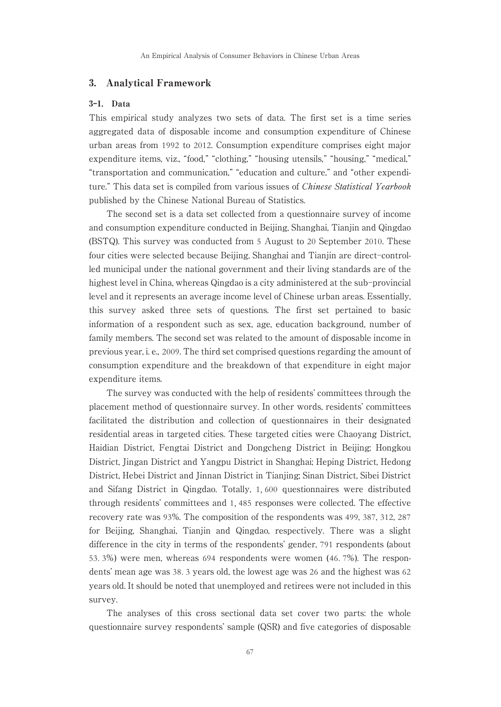# 3. Analytical Framework

# 3-1. Data

This empirical study analyzes two sets of data. The first set is a time series aggregated data of disposable income and consumption expenditure of Chinese urban areas from 1992 to 2012. Consumption expenditure comprises eight major expenditure items, viz., "food," "clothing," "housing utensils," "housing," "medical," "transportation and communication," "education and culture," and "other expenditure." This data set is compiled from various issues of *Chinese Statistical Yearbook* published by the Chinese National Bureau of Statistics.

The second set is a data set collected from a questionnaire survey of income and consumption expenditure conducted in Beijing, Shanghai, Tianjin and Qingdao (BSTQ). This survey was conducted from 5 August to 20 September 2010. These four cities were selected because Beijing, Shanghai and Tianjin are direct-controlled municipal under the national government and their living standards are of the highest level in China, whereas Qingdao is a city administered at the sub-provincial level and it represents an average income level of Chinese urban areas. Essentially, this survey asked three sets of questions. The first set pertained to basic information of a respondent such as sex, age, education background, number of family members. The second set was related to the amount of disposable income in previous year, i. e., 2009. The third set comprised questions regarding the amount of consumption expenditure and the breakdown of that expenditure in eight major expenditure items.

The survey was conducted with the help of residents' committees through the placement method of questionnaire survey. In other words, residents' committees facilitated the distribution and collection of questionnaires in their designated residential areas in targeted cities. These targeted cities were Chaoyang District, Haidian District, Fengtai District and Dongcheng District in Beijing; Hongkou District, Jingan District and Yangpu District in Shanghai; Heping District, Hedong District, Hebei District and Jinnan District in Tianjing; Sinan District, Sibei District and Sifang District in Qingdao. Totally, 1, 600 questionnaires were distributed through residents' committees and 1, 485 responses were collected. The effective recovery rate was 93%. The composition of the respondents was 499, 387, 312, 287 for Beijing, Shanghai, Tianjin and Qingdao, respectively. There was a slight difference in the city in terms of the respondents' gender, 791 respondents (about 53. 3%) were men, whereas 694 respondents were women (46. 7%). The respondents' mean age was 38. 3 years old, the lowest age was 26 and the highest was 62 years old. It should be noted that unemployed and retirees were not included in this survey.

The analyses of this cross sectional data set cover two parts: the whole questionnaire survey respondents' sample (QSR) and five categories of disposable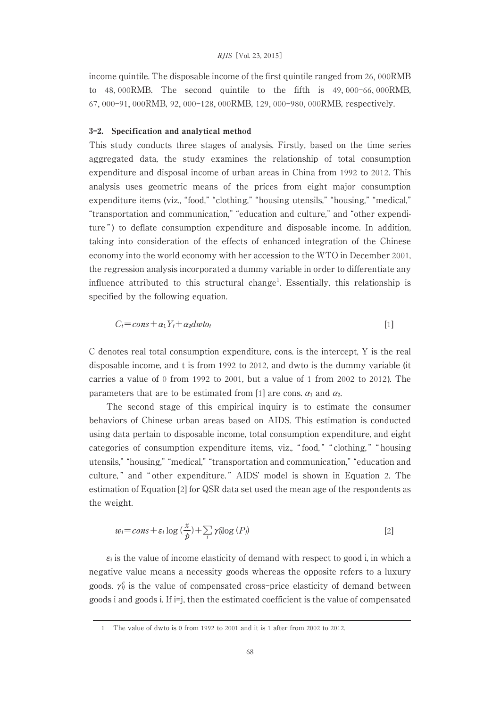#### RJIS[Vol. 23, 2015]

income quintile. The disposable income of the first quintile ranged from 26, 000RMB to 48, 000RMB. The second quintile to the fifth is 49, 000-66, 000RMB, 67, 000-91, 000RMB, 92, 000-128, 000RMB, 129, 000-980, 000RMB, respectively.

#### 3-2. Specification and analytical method

This study conducts three stages of analysis. Firstly, based on the time series aggregated data, the study examines the relationship of total consumption expenditure and disposal income of urban areas in China from 1992 to 2012. This analysis uses geometric means of the prices from eight major consumption expenditure items (viz., "food," "clothing," "housing utensils," "housing," "medical," "transportation and communication," "education and culture," and "other expenditure") to deflate consumption expenditure and disposable income. In addition, taking into consideration of the effects of enhanced integration of the Chinese economy into the world economy with her accession to the WTO in December 2001, the regression analysis incorporated a dummy variable in order to differentiate any influence attributed to this structural change<sup>1</sup>. Essentially, this relationship is specified by the following equation.

$$
C_t = const + \alpha_1 Y_t + \alpha_2 dw to_t
$$
\n<sup>(1)</sup>

C denotes real total consumption expenditure, cons. is the intercept, Y is the real disposable income, and t is from 1992 to 2012, and dwto is the dummy variable (it carries a value of 0 from 1992 to 2001, but a value of 1 from 2002 to 2012). The parameters that are to be estimated from [1] are cons.  $a_1$  and  $a_2$ .

The second stage of this empirical inquiry is to estimate the consumer behaviors of Chinese urban areas based on AIDS. This estimation is conducted using data pertain to disposable income, total consumption expenditure, and eight categories of consumption expenditure items, viz., " food, " " clothing, " " housing utensils," "housing," "medical," "transportation and communication," "education and culture, " and " other expenditure. " AIDS' model is shown in Equation 2. The estimation of Equation [2] for QSR data set used the mean age of the respondents as the weight.

$$
w_i = const + \varepsilon_i \log \left(\frac{x}{p}\right) + \sum_j \gamma_{ij}^c \log \left(P_j\right)
$$
 [2]

 $\varepsilon_i$  is the value of income elasticity of demand with respect to good i, in which a negative value means a necessity goods whereas the opposite refers to a luxury goods.  $\gamma_{ij}^c$  is the value of compensated cross-price elasticity of demand between goods i and goods i. If i=j, then the estimated coefficient is the value of compensated

<sup>1</sup> The value of dwto is 0 from 1992 to 2001 and it is 1 after from 2002 to 2012.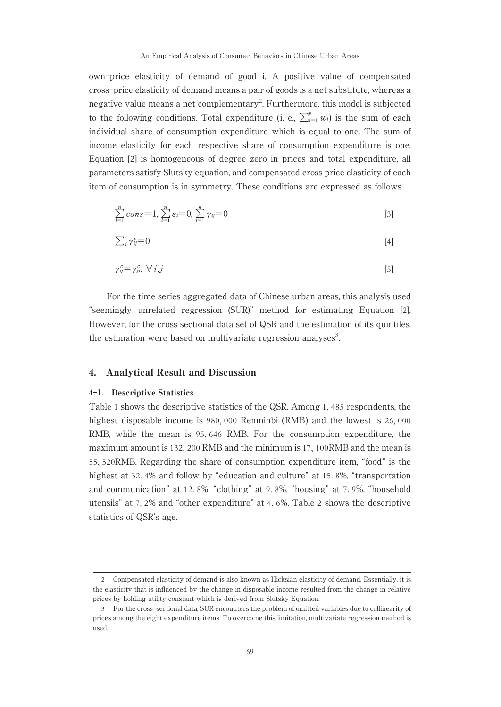own-price elasticity of demand of good i. A positive value of compensated cross-price elasticity of demand means a pair of goods is a net substitute, whereas a negative value means a net complementary<sup>2</sup>. Furthermore, this model is subjected to the following conditions. Total expenditure (i. e.,  $\sum_{i=1}^{8} w_i$ ) is the sum of each individual share of consumption expenditure which is equal to one. The sum of income elasticity for each respective share of consumption expenditure is one. Equation [2] is homogeneous of degree zero in prices and total expenditure, all parameters satisfy Slutsky equation, and compensated cross price elasticity of each item of consumption is in symmetry. These conditions are expressed as follows.

$$
\sum_{i=1}^{n} cons = 1, \sum_{i=1}^{n} \varepsilon_i = 0, \sum_{i=1}^{n} \gamma_{ij} = 0
$$
\n[3]

$$
\sum_{j} \gamma_{ij}^{c} = 0 \tag{4}
$$

$$
\gamma_{ij}^c = \gamma_{ji}^c, \ \forall \ i, j \tag{5}
$$

For the time series aggregated data of Chinese urban areas, this analysis used "seemingly unrelated regression (SUR)" method for estimating Equation [2]. However, for the cross sectional data set of QSR and the estimation of its quintiles, the estimation were based on multivariate regression analyses<sup>3</sup>. .

#### 4. Analytical Result and Discussion

#### 4-1. Descriptive Statistics

Table 1 shows the descriptive statistics of the QSR. Among 1, 485 respondents, the highest disposable income is 980, 000 Renminbi (RMB) and the lowest is 26, 000 RMB, while the mean is 95, 646 RMB. For the consumption expenditure, the maximum amount is 132, 200 RMB and the minimum is 17, 100RMB and the mean is 55, 520RMB. Regarding the share of consumption expenditure item, "food" is the highest at 32. 4% and follow by "education and culture" at 15. 8%, "transportation and communication" at 12. 8%, "clothing" at 9. 8%, "housing" at 7. 9%, "household utensils" at 7. 2% and "other expenditure" at 4. 6%. Table 2 shows the descriptive statistics of QSR's age.

<sup>2</sup> Compensated elasticity of demand is also known as Hicksian elasticity of demand. Essentially, it is the elasticity that is influenced by the change in disposable income resulted from the change in relative prices by holding utility constant which is derived from Slutsky Equation.

<sup>3</sup> For the cross-sectional data, SUR encounters the problem of omitted variables due to collinearity of prices among the eight expenditure items. To overcome this limitation, multivariate regression method is used.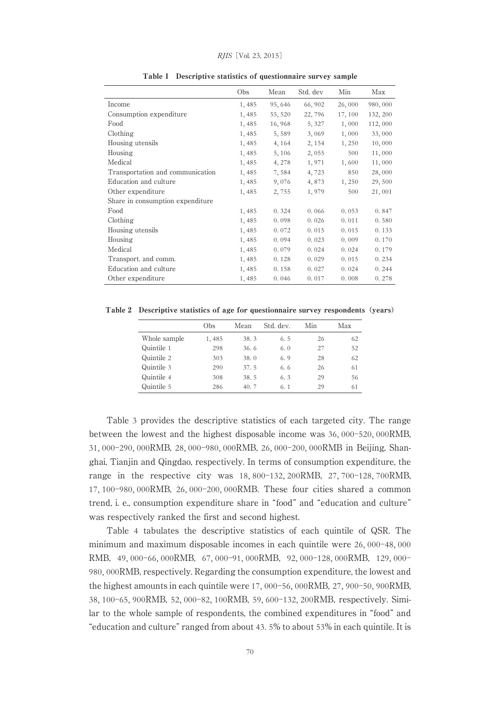|                                  | Obs   | Mean    | Std. dev | Min     | Max      |
|----------------------------------|-------|---------|----------|---------|----------|
| Income                           | 1,485 | 95,646  | 66,902   | 26,000  | 980,000  |
| Consumption expenditure          | 1,485 | 55, 520 | 22,796   | 17, 100 | 132, 200 |
| Food                             | 1,485 | 16,968  | 5, 327   | 1,000   | 112,000  |
| Clothing                         | 1,485 | 5,589   | 3,069    | 1,000   | 33,000   |
| Housing utensils                 | 1,485 | 4, 164  | 2, 154   | 1,250   | 10,000   |
| Housing                          | 1,485 | 5, 106  | 2,055    | 500     | 11,000   |
| Medical                          | 1,485 | 4, 278  | 1,971    | 1,600   | 11,000   |
| Transportation and communication | 1,485 | 7,584   | 4,723    | 850     | 28,000   |
| Education and culture            | 1,485 | 9,076   | 4,873    | 1,250   | 29,500   |
| Other expenditure                | 1,485 | 2,755   | 1,979    | 500     | 21,001   |
| Share in consumption expenditure |       |         |          |         |          |
| Food                             | 1,485 | 0.324   | 0.066    | 0.053   | 0.847    |
| Clothing                         | 1,485 | 0.098   | 0.026    | 0.011   | 0.580    |
| Housing utensils                 | 1,485 | 0.072   | 0.015    | 0.015   | 0.133    |
| Housing                          | 1,485 | 0.094   | 0.023    | 0.009   | 0.170    |
| Medical                          | 1,485 | 0.079   | 0.024    | 0.024   | 0.179    |
| Transport. and comm.             | 1,485 | 0.128   | 0.029    | 0.015   | 0.234    |
| Education and culture            | 1,485 | 0.158   | 0.027    | 0.024   | 0.244    |
| Other expenditure                | 1,485 | 0.046   | 0.017    | 0.008   | 0.278    |

Table 1 Descriptive statistics of questionnaire survey sample

Table 2 Descriptive statistics of age for questionnaire survey respondents (years)

|              | Obs   | Mean | Std. dev.   | Min | Max |
|--------------|-------|------|-------------|-----|-----|
| Whole sample | 1,485 | 38.3 | 6.5         | 26  | 62  |
| Quintile 1   | 298   | 36.6 | 6. $\theta$ | 27  | 52  |
| Quintile 2   | 303   | 38.0 | 6.9         | 28  | 62  |
| Quintile 3   | 290   | 37.5 | 6.6         | 26  | 61  |
| Quintile 4   | 308   | 38.5 | 6.3         | 29  | 56  |
| Quintile 5   | 286   | 40.7 | 6.1         | 29  | 61  |

Table 3 provides the descriptive statistics of each targeted city. The range between the lowest and the highest disposable income was 36, 000-520, 000RMB, 31, 000-290, 000RMB, 28, 000-980, 000RMB, 26, 000-200, 000RMB in Beijing, Shanghai, Tianjin and Qingdao, respectively. In terms of consumption expenditure, the range in the respective city was 18, 800-132, 200RMB, 27, 700-128, 700RMB, 17, 100-980, 000RMB, 26, 000-200, 000RMB. These four cities shared a common trend, i. e., consumption expenditure share in "food" and "education and culture" was respectively ranked the first and second highest.

Table 4 tabulates the descriptive statistics of each quintile of QSR. The minimum and maximum disposable incomes in each quintile were 26, 000-48, 000 RMB, 49, 000-66, 000RMB, 67, 000-91, 000RMB, 92, 000-128, 000RMB, 129, 000- 980, 000RMB, respectively. Regarding the consumption expenditure, the lowest and the highest amounts in each quintile were 17, 000-56, 000RMB, 27, 900-50, 900RMB, 38, 100-65, 900RMB, 52, 000-82, 100RMB, 59, 600-132, 200RMB, respectively. Similar to the whole sample of respondents, the combined expenditures in "food" and "education and culture" ranged from about 43. 5% to about 53% in each quintile. It is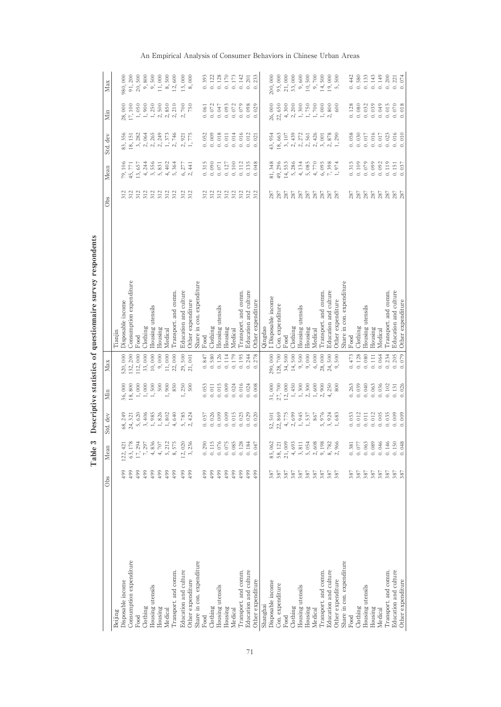|                           | Obs                                                        | Mean                                                            | Std. dev                                                                                                                                                                                                                                                                      | Min                                                       | Max                                                        |                           | Obs                                                | Mean                                                                               | Std. dev                                                                                                    | Min                                                                                                                                                                                                                                                                                                       | Max                                                                        |
|---------------------------|------------------------------------------------------------|-----------------------------------------------------------------|-------------------------------------------------------------------------------------------------------------------------------------------------------------------------------------------------------------------------------------------------------------------------------|-----------------------------------------------------------|------------------------------------------------------------|---------------------------|----------------------------------------------------|------------------------------------------------------------------------------------|-------------------------------------------------------------------------------------------------------------|-----------------------------------------------------------------------------------------------------------------------------------------------------------------------------------------------------------------------------------------------------------------------------------------------------------|----------------------------------------------------------------------------|
| Beijing                   |                                                            |                                                                 |                                                                                                                                                                                                                                                                               |                                                           |                                                            | Tianjin                   |                                                    |                                                                                    |                                                                                                             |                                                                                                                                                                                                                                                                                                           |                                                                            |
| Disposable income         | 499                                                        | 122, 421                                                        | 68, 249                                                                                                                                                                                                                                                                       |                                                           | 520,000                                                    | Disposable income         |                                                    | 79,106                                                                             | 83, 356                                                                                                     |                                                                                                                                                                                                                                                                                                           | 980,000                                                                    |
| Consumption expenditure   | 499                                                        | 63, 178                                                         | 24, 321                                                                                                                                                                                                                                                                       | $36,000$<br>$18,800$                                      | 132, 200                                                   | Consumption expenditure   | 312                                                |                                                                                    | 18, 151                                                                                                     |                                                                                                                                                                                                                                                                                                           |                                                                            |
| Food                      | 499                                                        | $\begin{array}{c} 17,294 \\ 7,297 \\ 4,836 \end{array}$         |                                                                                                                                                                                                                                                                               | $\begin{array}{l} 1,000 \\ 1,500 \\ 1,500 \\ \end{array}$ | $\begin{array}{c} 112,000 \\ 33,000 \\ 10,000 \end{array}$ | Food                      | 312<br>312<br>312                                  | $45, 771$<br>13, 657                                                               | $\begin{array}{cccccc} 3, & 282 \\ 2, & 0 & 64 \\ 2, & 24 & 5 \\ 2, & 24 & 9 \\ 2, & 24 & 9 \\ \end{array}$ |                                                                                                                                                                                                                                                                                                           | $\begin{array}{l} 91,200 \\ 20,500 \\ 9,800 \\ 9,500 \\ 1,000 \end{array}$ |
| Clothing                  | 499                                                        |                                                                 |                                                                                                                                                                                                                                                                               |                                                           |                                                            | Clothing                  |                                                    |                                                                                    |                                                                                                             |                                                                                                                                                                                                                                                                                                           |                                                                            |
| Housing utensils          | 499                                                        |                                                                 |                                                                                                                                                                                                                                                                               |                                                           |                                                            | Housing utensils          |                                                    |                                                                                    |                                                                                                             |                                                                                                                                                                                                                                                                                                           |                                                                            |
| Housing                   | 499                                                        | $4,707$                                                         |                                                                                                                                                                                                                                                                               |                                                           | 9,000                                                      | Housing                   |                                                    |                                                                                    |                                                                                                             |                                                                                                                                                                                                                                                                                                           |                                                                            |
| Medical                   | 499                                                        |                                                                 | $\begin{array}{cccc} 6.20 & 6.20 & 0.00 & 0.00 & 0.00 & 0.00 & 0.00 & 0.00 & 0.00 & 0.00 & 0.00 & 0.00 & 0.00 & 0.00 & 0.00 & 0.00 & 0.00 & 0.00 & 0.00 & 0.00 & 0.00 & 0.00 & 0.00 & 0.00 & 0.00 & 0.00 & 0.00 & 0.00 & 0.00 & 0.00 & 0.00 & 0.00 & 0.00 & 0.00 & 0.00 & 0.$ | 1,900                                                     | 11,000                                                     | Medical                   |                                                    |                                                                                    |                                                                                                             |                                                                                                                                                                                                                                                                                                           |                                                                            |
| Transport. and comm.      | 499                                                        | 5, 212<br>8, 575                                                | 4,640                                                                                                                                                                                                                                                                         | 850                                                       | 22,000                                                     | Transport. and comm.      | $312$<br>$312$                                     | $4, 240$ $6, 351$ $6, 612$ $6, 614$ $6, 614$ $6, 614$ $6, 614$                     | $1, 373$<br>2,746                                                                                           | $\begin{array}{l} 28,000 \\ 17,100 \\ 17,200 \\ 18,250 \\ 19,000 \\ 19,000 \\ 19,000 \\ 20,000 \\ 30,00 \\ 40 \\ 5,00 \\ 5,00 \\ 6,00 \\ 7,00 \\ 8,00 \\ 9,00 \\ 9,00 \\ 9,00 \\ 9,00 \\ 9,00 \\ 9,00 \\ 9,00 \\ 9,00 \\ 9,00 \\ 9,00 \\ 9,00 \\ 9,00 \\ 9,00 \\ 9,00 \\ 9,00 \\ 9,00 \\ 9,00 \\ 9,00 \\$ | $\begin{array}{c} 8,500 \\ 12,600 \end{array}$                             |
| Education and culture     | 499                                                        |                                                                 |                                                                                                                                                                                                                                                                               |                                                           |                                                            | Education and culture     | $312$<br>$312$                                     |                                                                                    |                                                                                                             | 2,700                                                                                                                                                                                                                                                                                                     | $15,000$<br>$8,000$                                                        |
| Other expenditure         |                                                            | $12,020$<br>3, 236                                              | $5,785$<br>2, 424                                                                                                                                                                                                                                                             | 1,250                                                     | $29,500$<br>$21,001$                                       | Other expenditure         |                                                    | $6, 277$<br>2, 441                                                                 | $2,921$<br>1,775                                                                                            |                                                                                                                                                                                                                                                                                                           |                                                                            |
| Share in con. expenditure |                                                            |                                                                 |                                                                                                                                                                                                                                                                               |                                                           |                                                            | Share in con. expenditure |                                                    |                                                                                    |                                                                                                             |                                                                                                                                                                                                                                                                                                           |                                                                            |
| Food                      | 499                                                        | 0.290                                                           | 0.057                                                                                                                                                                                                                                                                         | 0.053                                                     | 0.847                                                      | Food                      |                                                    |                                                                                    |                                                                                                             | 0.061                                                                                                                                                                                                                                                                                                     | 0.393                                                                      |
| Clothing                  | 499                                                        |                                                                 | 0.026                                                                                                                                                                                                                                                                         | 0.011                                                     | 0.580                                                      | Clothing                  |                                                    |                                                                                    | $0.052$<br>$0.009$                                                                                          |                                                                                                                                                                                                                                                                                                           | 0.122                                                                      |
| Housing utensils          | 499                                                        | $0.115$<br>$0.076$                                              | $0.009$<br>$0.009$                                                                                                                                                                                                                                                            | 0.015                                                     | 0.126                                                      | Housing utensils          | 222222<br>22222                                    | $\begin{array}{ll} 0.315 \\ 0.091 \\ 0.0127 \\ 0.0127 \end{array}$                 | $\begin{array}{c} 0.018 \\ 0.011 \end{array}$                                                               | $0.072$<br>$0.047$<br>$0.093$                                                                                                                                                                                                                                                                             | $0.128$<br>$0.170$                                                         |
| Housing                   | 499                                                        | 0.075                                                           |                                                                                                                                                                                                                                                                               | 0.009                                                     | 0.114                                                      | Housing                   |                                                    |                                                                                    |                                                                                                             |                                                                                                                                                                                                                                                                                                           |                                                                            |
| Medical                   | 499                                                        | 0.085                                                           | 0.015                                                                                                                                                                                                                                                                         | 0.024                                                     | 0.179                                                      | Medical                   |                                                    | 0.100                                                                              | 0.014                                                                                                       | 0.072                                                                                                                                                                                                                                                                                                     | 0.173                                                                      |
| Transport. and comm.      | 499                                                        | 0.128                                                           | 0.025                                                                                                                                                                                                                                                                         | 0.016                                                     | 0.195                                                      | Transport. and comm.      | 312                                                | 0.112                                                                              | 0.016                                                                                                       | 0.079                                                                                                                                                                                                                                                                                                     | 0.142                                                                      |
| Education and culture     | $499$<br>$499$                                             | $0.184$<br>$0.047$                                              |                                                                                                                                                                                                                                                                               | 0.024                                                     | 0.244                                                      | Education and culture     | 312<br>312                                         | $0.135$<br>$0.048$                                                                 |                                                                                                             | $0.098$<br>$0.029$                                                                                                                                                                                                                                                                                        |                                                                            |
| Other expenditure         |                                                            |                                                                 | $0.029$<br>$0.020$                                                                                                                                                                                                                                                            | 0.008                                                     | 0.278                                                      | Other expenditure         |                                                    |                                                                                    | $0.012$<br>$0.021$                                                                                          |                                                                                                                                                                                                                                                                                                           | $0.201$<br>$0.233$                                                         |
| Shanghai                  |                                                            |                                                                 |                                                                                                                                                                                                                                                                               |                                                           |                                                            | Qingdao                   |                                                    |                                                                                    |                                                                                                             |                                                                                                                                                                                                                                                                                                           |                                                                            |
| Disposable income         |                                                            |                                                                 |                                                                                                                                                                                                                                                                               |                                                           | 290,000                                                    | I Disposable income       |                                                    | 81, 348                                                                            |                                                                                                             |                                                                                                                                                                                                                                                                                                           | 200,000                                                                    |
| Con. expenditure          | 387<br>387                                                 | 85,062<br>58,121<br>21,009                                      | 52, 501<br>22, 869                                                                                                                                                                                                                                                            | $\begin{array}{l} 31,000 \\ 27,700 \\ 12,000 \end{array}$ | 128,700                                                    | Con. expenditure          |                                                    | 49, 296                                                                            | 43, 954<br>18, 663                                                                                          | 26,000<br>22,650                                                                                                                                                                                                                                                                                          |                                                                            |
| Food                      |                                                            |                                                                 | 4,775                                                                                                                                                                                                                                                                         |                                                           | 34,500                                                     | Food                      |                                                    | 14,553                                                                             |                                                                                                             | 4,300                                                                                                                                                                                                                                                                                                     |                                                                            |
| Clothing                  |                                                            |                                                                 |                                                                                                                                                                                                                                                                               | 1,450                                                     |                                                            | Clothing                  |                                                    |                                                                                    |                                                                                                             |                                                                                                                                                                                                                                                                                                           |                                                                            |
| Housing utensils          |                                                            | $\begin{array}{c} 4,693 \\ 3,811 \\ 5,608 \\ 2,608 \end{array}$ | $2,699$<br>1,945<br>1,537                                                                                                                                                                                                                                                     | $\begin{array}{c} 1,300 \\ 2,300 \end{array}$             | $\begin{array}{c} 14,500 \\ 9,500 \\ 9,000 \end{array}$    | Housing utensils          |                                                    | $\begin{array}{c} 5,286 \\ 4,134 \\ 5,085 \\ 4,770 \end{array}$                    |                                                                                                             | $\begin{array}{l} 2, 200 \\ 1, 300 \\ 1, 750 \\ 000 \\ 000 \\ 000 \\ 000 \\ \end{array}$                                                                                                                                                                                                                  |                                                                            |
| Housing                   |                                                            |                                                                 |                                                                                                                                                                                                                                                                               |                                                           |                                                            | Housing                   |                                                    |                                                                                    |                                                                                                             |                                                                                                                                                                                                                                                                                                           |                                                                            |
| Medical                   |                                                            |                                                                 | 867                                                                                                                                                                                                                                                                           |                                                           | 6,000                                                      | Medical                   |                                                    |                                                                                    |                                                                                                             |                                                                                                                                                                                                                                                                                                           |                                                                            |
| Transport, and comm.      |                                                            | $9, 198$<br>8,782<br>2,966                                      | $\frac{5}{3}, \frac{976}{924}$                                                                                                                                                                                                                                                |                                                           | 28,000<br>24,500<br>9,500                                  | Transport, and comm.      |                                                    | $6,095$<br>$7,398$<br>$1,974$                                                      |                                                                                                             |                                                                                                                                                                                                                                                                                                           |                                                                            |
| Education and culture     |                                                            |                                                                 |                                                                                                                                                                                                                                                                               |                                                           |                                                            | Education and culture     |                                                    |                                                                                    |                                                                                                             |                                                                                                                                                                                                                                                                                                           |                                                                            |
| Other expenditure         |                                                            |                                                                 |                                                                                                                                                                                                                                                                               |                                                           |                                                            | Other expenditure         |                                                    |                                                                                    |                                                                                                             |                                                                                                                                                                                                                                                                                                           |                                                                            |
| Share in con. expenditure |                                                            |                                                                 |                                                                                                                                                                                                                                                                               |                                                           |                                                            | Share in con. expenditure |                                                    |                                                                                    |                                                                                                             |                                                                                                                                                                                                                                                                                                           |                                                                            |
| Food                      |                                                            |                                                                 | 0.053                                                                                                                                                                                                                                                                         | 0.263                                                     | 0.473                                                      | Food                      |                                                    |                                                                                    |                                                                                                             |                                                                                                                                                                                                                                                                                                           |                                                                            |
| Clothing                  | $\begin{array}{c} 788 \\ 788 \\ 688 \\ 788 \\ \end{array}$ | $0.381$<br>$0.077$                                              | $\begin{array}{c} 0.012 \\ 0.011 \end{array}$                                                                                                                                                                                                                                 | 0.039                                                     | 0.128                                                      | Clothing                  |                                                    | $\begin{array}{ccc} 115 & 0 & 0 & 0 \\ 0 & 0 & 0 & 0 \\ 0 & 0 & 0 & 0 \end{array}$ | $0.058$<br>$0.030$<br>$0.017$                                                                               | $0.128$<br>$0.080$<br>$0.032$                                                                                                                                                                                                                                                                             | $0.442$<br>$0.580$<br>$0.133$                                              |
| Housing utensils          |                                                            | 0.063                                                           |                                                                                                                                                                                                                                                                               | 0.040                                                     | 0.080                                                      | Housing utensils          |                                                    |                                                                                    |                                                                                                             |                                                                                                                                                                                                                                                                                                           |                                                                            |
| Housing                   |                                                            | 0.089                                                           | $0.012\,$                                                                                                                                                                                                                                                                     | 0.063                                                     | 0.111                                                      | Housing                   |                                                    |                                                                                    | 0.016                                                                                                       | 0.039                                                                                                                                                                                                                                                                                                     | 0.143                                                                      |
| Medical                   |                                                            | 0.046                                                           | 0.005                                                                                                                                                                                                                                                                         | 0.036                                                     | 0.064                                                      | Medical                   |                                                    | 0.092                                                                              | $0.017$                                                                                                     | 0.049                                                                                                                                                                                                                                                                                                     | 0.149                                                                      |
| Transport. and comm.      |                                                            | 0.146                                                           |                                                                                                                                                                                                                                                                               | 0.102                                                     | 0.234                                                      | Transport. and comm.      |                                                    |                                                                                    |                                                                                                             |                                                                                                                                                                                                                                                                                                           |                                                                            |
| Education and culture     | 387<br>387                                                 | $0.150$<br>$0.048$                                              | $\begin{array}{c} 0.035 \\ 0.009 \\ 0.009 \end{array}$                                                                                                                                                                                                                        | $0.131$<br>$0.026$                                        | $0.205$<br>$0.079$                                         | Education and culture     | <b>E</b><br>E E E E E E E E E E<br>E E E E E E E E | $\begin{array}{c} 0.119 \\ 0.151 \\ 0.037 \end{array}$                             | $\begin{array}{c} 0.023 \\ 0.016 \\ 0.010 \end{array}$                                                      | $\begin{array}{c} 0.015 \\ 0.070 \\ 0.018 \end{array}$                                                                                                                                                                                                                                                    | $\begin{array}{c} 0.200 \\ 0.221 \\ 0.074 \end{array}$                     |
| Other expenditure         |                                                            |                                                                 |                                                                                                                                                                                                                                                                               |                                                           |                                                            | Other expenditure         |                                                    |                                                                                    |                                                                                                             |                                                                                                                                                                                                                                                                                                           |                                                                            |

Table 3 Descriptive statistics of questionnaire survey respondents Table 3 Descriptive statistics of questionnaire survey respondents

# An Empirical Analysis of Consumer Behaviors in Chinese Urban Areas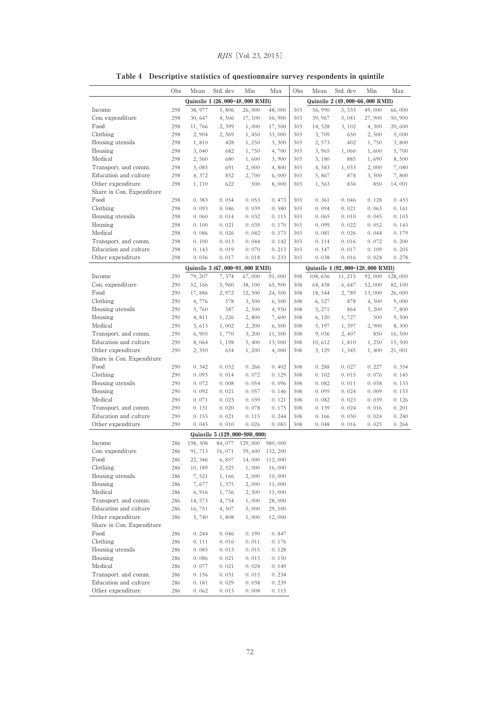|                           | Obs        | Mean             | Std. dev                                | Min            | Max              | Obs        | Mean           | Std. dev                                   | Min            | Max            |
|---------------------------|------------|------------------|-----------------------------------------|----------------|------------------|------------|----------------|--------------------------------------------|----------------|----------------|
|                           |            |                  | Quintile 1 (26,000-48,000 RMB)          |                |                  |            |                | Quintile 2 (49,000-66,000 RMB)             |                |                |
| Income                    | 298        | 38, 977          | 5,806                                   | 26,000         | 48,000           | 303        | 56,990         | 5, 333                                     | 49,000         | 66,000         |
| Con. expenditure          | 298        | 30, 647          | 4,506                                   | 17, 100        | 56,900           | 303        | 39, 967        | 5,041                                      | 27,900         | 50,900         |
| Food                      | 298        | 11,766           | 2,399                                   | 1,000          | 17,500           | 303        | 14, 528        | 3, 102                                     | 4,300          | 20,600         |
| Clothing                  | 298        | 2,904            | 2,569                                   | 1,450          | 33,000           | 303        | 3,709          | 650                                        | 2,500          | 5,000          |
| Housing utensils          | 298        | 1,810            | 428                                     | 1,250          | 3,300            | 303        | 2,573          | 402                                        | 1,750          | 3,800          |
| Housing                   | 298        | 3,040            | 682                                     | 1,750          | 4,700            | 303        | 3,965          | 1,060                                      | 1,600          | 5,700          |
| Medical                   | 298        | 2,560            | 680                                     | 1,600          | 3,900            | 303        | 3,180          | 885                                        | 1,690          | 8,500          |
| Transport. and comm.      | 298        | 3,085            | 691                                     | 2,000          | 4,800            | 303        | 4,583          | 1,033                                      | 2,000          | 7,080          |
| Education and culture     | 298        | 4, 372           | 852                                     | 2,700          | 6,000            | 303        | 5,867          | 878                                        | 3,500          | 7,800          |
| Other expenditure         | 298        | 1,110            | 622                                     | 500            | 8,000            | 303        | 1,563          | 836                                        | 850            | 14,001         |
| Share in Con. Expenditure |            |                  |                                         |                |                  |            |                |                                            |                |                |
| Food<br>Clothing          | 298        | 0.383            | 0.054                                   | 0.053          | 0.473<br>0.580   | 303        | 0.361          | 0.046                                      | 0.128          | 0.453          |
| Housing utensils          | 298        | 0.093            | 0.046                                   | 0.039          | 0.115            | 303        | 0.094          | 0.021                                      | 0.063          | 0.161          |
| Housing                   | 298        | 0.060<br>0.100   | 0.014<br>0.021                          | 0.032          | 0.170            | 303        | 0.065<br>0.099 | 0.010                                      | 0.045          | 0.103          |
| Medical                   | 298<br>298 | 0.086            | 0.026                                   | 0.039<br>0.042 | 0.173            | 303<br>303 | 0.081          | 0.022<br>0.026                             | 0.052<br>0.044 | 0.143<br>0.179 |
| Transport. and comm.      | 298        | 0.100            | 0.013                                   | 0.044          | 0.142            | 303        | 0.114          | 0.016                                      | 0.072          | 0.200          |
| Education and culture     | 298        | 0.143            | 0.019                                   | 0.070          | 0.213            | 303        | 0.147          | 0.017                                      | 0.109          | 0.205          |
| Other expenditure         | 298        | 0.036            | 0.017                                   | 0.018          | 0.233            | 303        | 0.038          | 0.016                                      | 0.024          | 0.278          |
|                           |            |                  |                                         |                |                  |            |                |                                            |                |                |
| Income                    | 290        | 79, 207          | Quintile 3 (67,000-91,000 RMB)<br>7,374 | 67,000         | 91,000           | 308        | 108, 656       | Quintile 4 (92,000-128,000 RMB)<br>11, 215 | 92,000         | 128,000        |
| Con. expenditure          | 290        | 52, 166          | 5,960                                   | 38, 100        | 65,900           | 308        | 64, 438        | 6,647                                      | 52,000         | 82, 100        |
| Food                      | 290        | 17,886           | 2,972                                   | 12,500         | 24,500           | 308        | 18, 544        | 2,789                                      | 13,000         | 26,000         |
| Clothing                  | 290        | 4,776            | 578                                     | 3,500          | 6,500            | 308        | 6, 527         | 878                                        | 4,500          | 9,000          |
| Housing utensils          | 290        | 3,760            | 587                                     | 2,500          | 4,950            | 308        | 5, 271         | 864                                        | 3,200          | 7,800          |
| Housing                   | 290        | 4,811            | 1,226                                   | 2,800          | 7,600            | 308        | 6, 120         | 1,727                                      | 500            | 9,500          |
| Medical                   | 290        | 3,613            | 1,002                                   | 2, 200         | 6,500            | 308        | 5, 197         | 1,397                                      | 2,900          | 8,300          |
| Transport. and comm.      | 290        | 6,905            | 1,770                                   | 3,200          | 11,500           | 308        | 9,036          | 2, 407                                     | 850            | 16,500         |
| Education and culture     | 290        | 8,064            | 1,198                                   | 5,400          | 13,000           | 308        | 10,612         | 1,810                                      | 1,250          | 15,500         |
| Other expenditure         | 290        | 2,350            | 654                                     | 1,200          | 4,000            | 308        | 3, 129         | 1, 345                                     | 1,400          | 21,001         |
| Share in Con. Expenditure |            |                  |                                         |                |                  |            |                |                                            |                |                |
| Food                      | 290        | 0.342            | 0.032                                   | 0.266          | 0.402            | 308        | 0.288          | 0.027                                      | 0.227          | 0.354          |
| Clothing                  | 290        | 0.093            | 0.014                                   | 0.072          | 0.129            | 308        | 0.102          | 0.015                                      | 0.076          | 0.145          |
| Housing utensils          | 290        | 0.072            | 0.008                                   | 0.054          | 0.096            | 308        | 0.082          | 0.011                                      | 0.058          | 0.133          |
| Housing                   | 290        | 0.092            | 0.021                                   | 0.057          | 0.146            | 308        | 0.095          | 0.024                                      | 0.009          | 0.153          |
| Medical                   | 290        | 0.071            | 0.023                                   | 0.039          | 0.121            | 308        | 0.082          | 0.023                                      | 0.039          | 0.126          |
| Transport. and comm.      | 290        | 0.131            | 0.020                                   | 0.078          | 0.175            | 308        | 0.139          | 0.024                                      | 0.016          | 0.201          |
| Education and culture     | 290        | 0.155            | 0.021                                   | 0.115          | 0.244            | 308        | 0.166          | 0.030                                      | 0.024          | 0.240          |
| Other expenditure         | 290        | 0.045            | 0.010                                   | 0.026          | 0.083            | 308        | 0.048          | 0.016                                      | 0.025          | 0.264          |
|                           |            |                  | Quintile 5 (129,000-980,000)            |                |                  |            |                |                                            |                |                |
| Income                    | 286        | 198, 308         | 84, 077                                 | 129,000        | 980,000          |            |                |                                            |                |                |
| Con. expenditure          | 286        | 91, 713          | 16,071                                  | 59,600         | 132, 200         |            |                |                                            |                |                |
| Food                      | 286        | 22, 346          | 6,857                                   | 14,000         | 112,000          |            |                |                                            |                |                |
| Clothing                  | 286        | 10, 189          | 2,525                                   | 1,000          | 16,000           |            |                |                                            |                |                |
| Housing utensils          | 286        | 7,521            | 1,166                                   | 2,000          | 10,000           |            |                |                                            |                |                |
| Housing<br>Medical        | 286        | 7,677            | 1,375                                   | 2,000          | 11,000           |            |                |                                            |                |                |
| Transport. and comm.      | 286        | 6,916            | 1,756                                   | 2,500          | 11,000           |            |                |                                            |                |                |
| Education and culture     | 286<br>286 | 14, 573          | 4,754                                   | 1,000<br>5,000 | 28,000           |            |                |                                            |                |                |
| Other expenditure         | 286        | 16, 751<br>5,740 | 4,507<br>1,808                          | 1,000          | 29,500<br>12,000 |            |                |                                            |                |                |
| Share in Con. Expenditure |            |                  |                                         |                |                  |            |                |                                            |                |                |
| Food                      | 286        | 0.244            | 0.046                                   | 0.190          | 0.847            |            |                |                                            |                |                |
| Clothing                  | 286        | 0.111            | 0.016                                   | 0.011          | 0.176            |            |                |                                            |                |                |
| Housing utensils          | 286        | 0.083            | 0.013                                   | 0.015          | 0.128            |            |                |                                            |                |                |
| Housing                   | 286        | 0.086            | 0.021                                   | 0.015          | 0.150            |            |                |                                            |                |                |
| Medical                   | 286        | 0.077            | 0.021                                   | 0.024          | 0.149            |            |                |                                            |                |                |
| Transport. and comm.      | 286        | 0.156            | 0.031                                   | 0.015          | 0.234            |            |                |                                            |                |                |
| Education and culture     | 286        | 0.181            | 0.029                                   | 0.038          | 0.239            |            |                |                                            |                |                |
| Other expenditure         | 286        | 0.062            | 0.013                                   | 0.008          | 0.115            |            |                |                                            |                |                |

# Table 4 Descriptive statistics of questionnaire survey respondents in quintile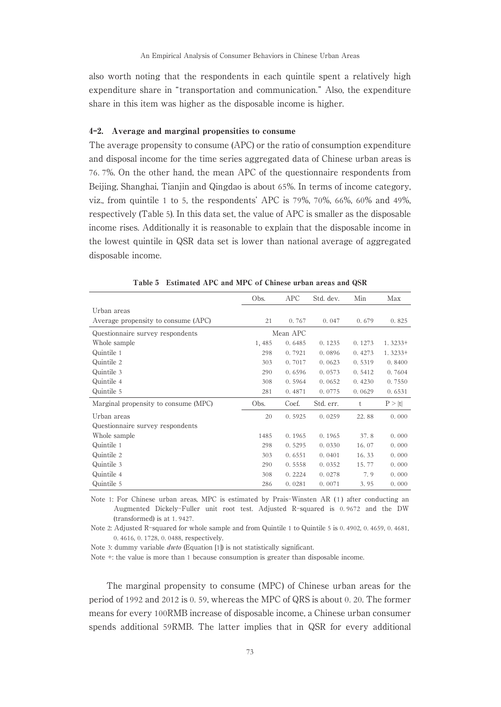also worth noting that the respondents in each quintile spent a relatively high expenditure share in "transportation and communication." Also, the expenditure share in this item was higher as the disposable income is higher.

#### 4-2. Average and marginal propensities to consume

The average propensity to consume (APC) or the ratio of consumption expenditure and disposal income for the time series aggregated data of Chinese urban areas is 76. 7%. On the other hand, the mean APC of the questionnaire respondents from Beijing, Shanghai, Tianjin and Qingdao is about 65%. In terms of income category, viz., from quintile 1 to 5, the respondents' APC is 79%, 70%, 66%, 60% and 49%, respectively (Table 5). In this data set, the value of APC is smaller as the disposable income rises. Additionally it is reasonable to explain that the disposable income in the lowest quintile in QSR data set is lower than national average of aggregated disposable income.

|                                      | Obs.  | APC      | Std. dev. | Min    | Max       |
|--------------------------------------|-------|----------|-----------|--------|-----------|
| Urban areas                          |       |          |           |        |           |
| Average propensity to consume (APC)  | 21    | 0.767    | 0.047     | 0.679  | 0.825     |
| Questionnaire survey respondents     |       | Mean APC |           |        |           |
| Whole sample                         | 1,485 | 0.6485   | 0.1235    | 0.1273 | $1.3233+$ |
| Quintile 1                           | 298   | 0.7921   | 0.0896    | 0.4273 | $1.3233+$ |
| Quintile 2                           | 303   | 0.7017   | 0.0623    | 0.5319 | 0.8400    |
| Quintile 3                           | 290   | 0.6596   | 0.0573    | 0.5412 | 0.7604    |
| Quintile 4                           | 308   | 0.5964   | 0.0652    | 0.4230 | 0.7550    |
| Quintile 5                           | 281   | 0.4871   | 0.0775    | 0.0629 | 0.6531    |
| Marginal propensity to consume (MPC) | Obs.  | Coef.    | Std. err. | t      | P >  t    |
| Urban areas                          | 20    | 0.5925   | 0.0259    | 22.88  | 0.000     |
| Questionnaire survey respondents     |       |          |           |        |           |
| Whole sample                         | 1485  | 0.1965   | 0.1965    | 37.8   | 0.000     |
| Quintile 1                           | 298   | 0.5295   | 0.0330    | 16.07  | 0.000     |
| Quintile 2                           | 303   | 0.6551   | 0.0401    | 16.33  | 0.000     |
| Quintile 3                           | 290   | 0.5558   | 0.0352    | 15.77  | 0.000     |
| Quintile 4                           | 308   | 0.2224   | 0.0278    | 7.9    | 0.000     |
| Quintile 5                           | 286   | 0.0281   | 0.0071    | 3.95   | 0.000     |

Table 5 Estimated APC and MPC of Chinese urban areas and QSR

Note 1: For Chinese urban areas, MPC is estimated by Prais-Winsten AR (1) after conducting an Augmented Dickely-Fuller unit root test. Adjusted R-squared is 0. 9672 and the DW (transformed) is at 1. 9427.

Note 2: Adjusted R-squared for whole sample and from Quintile 1 to Quintile 5 is 0. 4902, 0. 4659, 0. 4681, 0. 4616, 0. 1728, 0. 0488, respectively.

Note 3: dummy variable dwto (Equation [1]) is not statistically significant.

Note +: the value is more than 1 because consumption is greater than disposable income.

The marginal propensity to consume (MPC) of Chinese urban areas for the period of 1992 and 2012 is 0. 59, whereas the MPC of QRS is about 0. 20. The former means for every 100RMB increase of disposable income, a Chinese urban consumer spends additional 59RMB. The latter implies that in QSR for every additional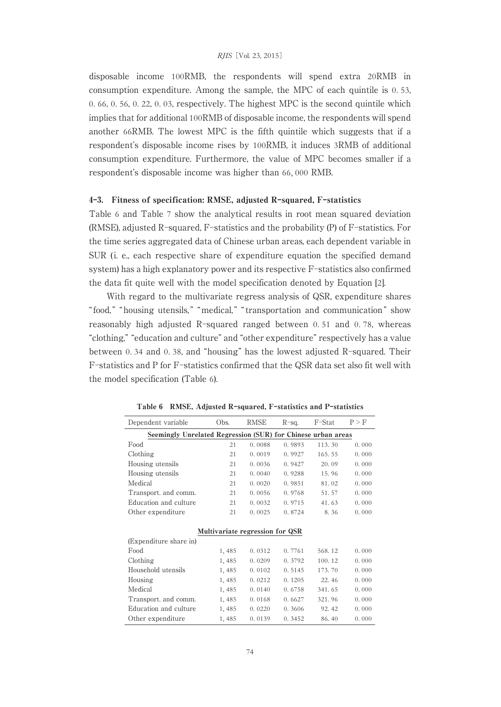disposable income 100RMB, the respondents will spend extra 20RMB in consumption expenditure. Among the sample, the MPC of each quintile is 0. 53, 0. 66, 0. 56, 0. 22, 0. 03, respectively. The highest MPC is the second quintile which implies that for additional 100RMB of disposable income, the respondents will spend another 66RMB. The lowest MPC is the fifth quintile which suggests that if a respondent's disposable income rises by 100RMB, it induces 3RMB of additional consumption expenditure. Furthermore, the value of MPC becomes smaller if a respondent's disposable income was higher than 66, 000 RMB.

#### 4-3. Fitness of specification: RMSE, adjusted R-squared, F-statistics

Table 6 and Table 7 show the analytical results in root mean squared deviation (RMSE), adjusted R-squared, F-statistics and the probability (P) of F-statistics. For the time series aggregated data of Chinese urban areas, each dependent variable in SUR (i. e., each respective share of expenditure equation the specified demand system) has a high explanatory power and its respective F-statistics also confirmed the data fit quite well with the model specification denoted by Equation [2].

With regard to the multivariate regress analysis of QSR, expenditure shares " food," " housing utensils," " medical," " transportation and communication" show reasonably high adjusted R-squared ranged between 0. 51 and 0. 78, whereas "clothing," "education and culture" and "other expenditure" respectively has a value between 0. 34 and 0. 38, and "housing" has the lowest adjusted R-squared. Their F-statistics and P for F-statistics confirmed that the QSR data set also fit well with the model specification (Table 6).

| Dependent variable                                           | Obs.  | <b>RMSE</b>                     | $R$ -sq. | F-Stat | P > F |
|--------------------------------------------------------------|-------|---------------------------------|----------|--------|-------|
| Seemingly Unrelated Regression (SUR) for Chinese urban areas |       |                                 |          |        |       |
| Food                                                         | 21    | 0.0088                          | 0.9893   | 113.30 | 0.000 |
| Clothing                                                     | 21    | 0.0019                          | 0.9927   | 165.55 | 0.000 |
| Housing utensils                                             | 21    | 0.0036                          | 0.9427   | 20.09  | 0.000 |
| Housing utensils                                             | 21    | 0.0040                          | 0.9288   | 15.96  | 0.000 |
| Medical                                                      | 21    | 0.0020                          | 0.9851   | 81.02  | 0.000 |
| Transport, and comm.                                         | 21    | 0.0056                          | 0.9768   | 51.57  | 0.000 |
| Education and culture                                        | 21    | 0.0032                          | 0.9715   | 41.63  | 0.000 |
| Other expenditure                                            | 21    | 0.0025                          | 0.8724   | 8.36   | 0.000 |
|                                                              |       |                                 |          |        |       |
|                                                              |       | Multivariate regression for QSR |          |        |       |
| (Expenditure share in)                                       |       |                                 |          |        |       |
| Food                                                         | 1,485 | 0.0312                          | 0.7761   | 568.12 | 0.000 |
| Clothing                                                     | 1,485 | 0.0209                          | 0.3792   | 100.12 | 0.000 |
| Household utensils                                           | 1,485 | 0.0102                          | 0.5145   | 173.70 | 0.000 |
| Housing                                                      | 1,485 | 0.0212                          | 0.1205   | 22.46  | 0.000 |
| Medical                                                      | 1,485 | 0.0140                          | 0.6758   | 341.65 | 0.000 |
| Transport. and comm.                                         | 1,485 | 0.0168                          | 0.6627   | 321.96 | 0.000 |
| Education and culture                                        | 1,485 | 0.0220                          | 0.3606   | 92.42  | 0.000 |
| Other expenditure                                            | 1,485 | 0.0139                          | 0.3452   | 86.40  | 0.000 |

Table 6 RMSE, Adjusted R-squared, F-statistics and P-statistics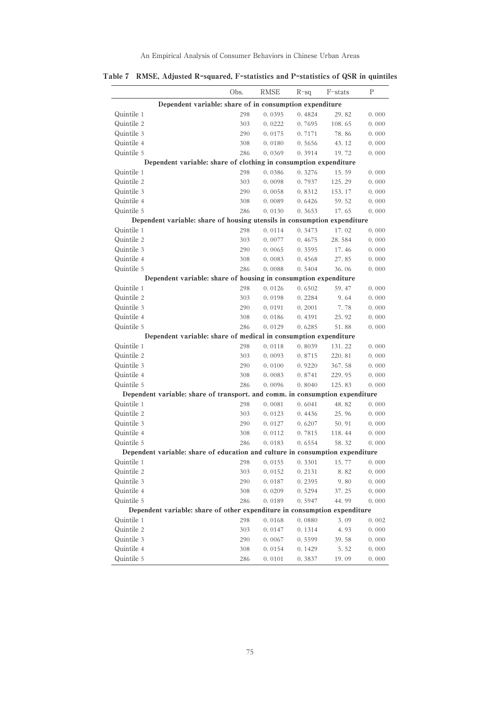|                                                                               | Obs. | <b>RMSE</b> | $R-sq$ | F-stats | P     |
|-------------------------------------------------------------------------------|------|-------------|--------|---------|-------|
| Dependent variable: share of in consumption expenditure                       |      |             |        |         |       |
| Quintile 1                                                                    | 298  | 0.0395      | 0.4824 | 29.82   | 0.000 |
| Quintile 2                                                                    | 303  | 0.0222      | 0.7695 | 108.65  | 0.000 |
| Quintile 3                                                                    | 290  | 0.0175      | 0.7171 | 78.86   | 0.000 |
| Quintile 4                                                                    | 308  | 0.0180      | 0.5656 | 43.12   | 0.000 |
| Quintile 5                                                                    | 286  | 0.0369      | 0.3914 | 19.72   | 0.000 |
| Dependent variable: share of clothing in consumption expenditure              |      |             |        |         |       |
| Quintile 1                                                                    | 298  | 0.0386      | 0.3276 | 15.59   | 0.000 |
| Quintile 2                                                                    | 303  | 0.0098      | 0.7937 | 125.29  | 0.000 |
| Quintile 3                                                                    | 290  | 0.0058      | 0.8312 | 153.17  | 0.000 |
| Quintile 4                                                                    | 308  | 0.0089      | 0.6426 | 59.52   | 0.000 |
| Quintile 5                                                                    | 286  | 0.0130      | 0.3653 | 17.65   | 0.000 |
| Dependent variable: share of housing utensils in consumption expenditure      |      |             |        |         |       |
| Quintile 1                                                                    | 298  | 0.0114      | 0.3473 | 17.02   | 0.000 |
| Quintile 2                                                                    | 303  | 0.0077      | 0.4675 | 28.584  | 0.000 |
| Quintile 3                                                                    | 290  | 0.0065      | 0.3595 | 17.46   | 0.000 |
| Quintile 4                                                                    | 308  | 0.0083      | 0.4568 | 27.85   | 0.000 |
| Quintile 5                                                                    | 286  | 0.0088      | 0.5404 | 36.06   | 0.000 |
| Dependent variable: share of housing in consumption expenditure               |      |             |        |         |       |
| Quintile 1                                                                    | 298  | 0.0126      | 0.6502 | 59.47   | 0.000 |
| Quintile 2                                                                    | 303  | 0.0198      | 0.2284 | 9.64    | 0.000 |
| Quintile 3                                                                    | 290  | 0.0191      | 0.2001 | 7.78    | 0.000 |
| Quintile 4                                                                    | 308  | 0.0186      | 0.4391 | 25.92   | 0.000 |
| Quintile 5                                                                    | 286  | 0.0129      | 0.6285 | 51.88   | 0.000 |
| Dependent variable: share of medical in consumption expenditure               |      |             |        |         |       |
| Quintile 1                                                                    | 298  | 0.0118      | 0.8039 | 131.22  | 0.000 |
| Quintile 2                                                                    | 303  | 0.0093      | 0.8715 | 220.81  | 0.000 |
| Quintile 3                                                                    | 290  | 0.0100      | 0.9220 | 367.58  | 0.000 |
| Quintile 4                                                                    | 308  | 0.0083      | 0.8741 | 229.95  | 0.000 |
| Quintile 5                                                                    | 286  | 0.0096      | 0.8040 | 125.83  | 0.000 |
| Dependent variable: share of transport, and comm, in consumption expenditure  |      |             |        |         |       |
| Quintile 1                                                                    | 298  | 0.0081      | 0.6041 | 48.82   | 0.000 |
| Quintile 2                                                                    | 303  | 0.0123      | 0.4436 | 25.96   | 0.000 |
| Quintile 3                                                                    | 290  | 0.0127      | 0.6207 | 50.91   | 0.000 |
| Quintile 4                                                                    | 308  | 0.0112      | 0.7815 | 118.44  | 0.000 |
| Quintile 5                                                                    | 286  | 0.0183      | 0.6554 | 58.32   | 0.000 |
| Dependent variable: share of education and culture in consumption expenditure |      |             |        |         |       |
| Quintile 1                                                                    | 298  | 0.0155      | 0.3301 | 15.77   | 0.000 |
| Quintile 2                                                                    | 303  | 0.0152      | 0.2131 | 8.82    | 0.000 |
| Quintile 3                                                                    | 290  | 0.0187      | 0.2395 | 9.80    | 0.000 |
| Quintile 4                                                                    | 308  | 0.0209      | 0.5294 | 37.25   | 0.000 |
| Quintile 5                                                                    | 286  | 0.0189      | 0.5947 | 44.99   | 0.000 |
| Dependent variable: share of other expenditure in consumption expenditure     |      |             |        |         |       |
| Quintile 1                                                                    | 298  | 0.0168      | 0.0880 | 3.09    | 0.002 |
| Quintile 2                                                                    | 303  | 0.0147      | 0.1314 | 4.93    | 0.000 |
| Quintile 3                                                                    | 290  | 0.0067      | 0.5599 | 39.58   | 0.000 |
| Quintile 4                                                                    | 308  | 0.0154      | 0.1429 | 5.52    | 0.000 |
| Quintile 5                                                                    | 286  | 0.0101      | 0.3837 | 19.09   | 0.000 |

Table 7 RMSE, Adjusted R-squared, F-statistics and P-statistics of QSR in quintiles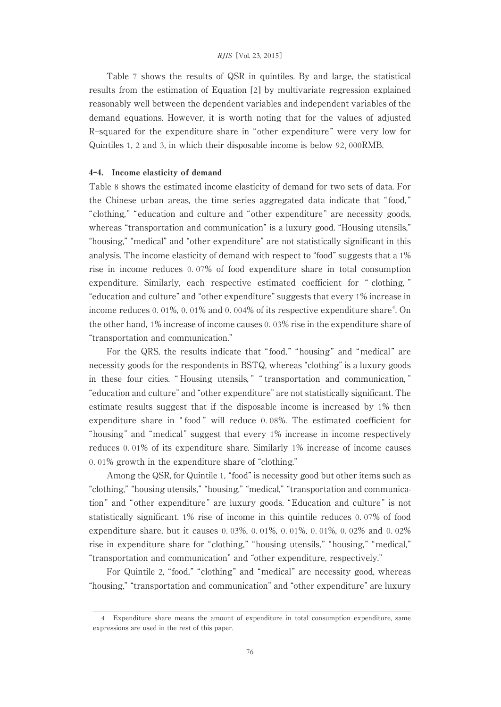#### RJIS [Vol. 23, 2015]

Table 7 shows the results of QSR in quintiles. By and large, the statistical results from the estimation of Equation [2] by multivariate regression explained reasonably well between the dependent variables and independent variables of the demand equations. However, it is worth noting that for the values of adjusted R-squared for the expenditure share in " other expenditure " were very low for Quintiles 1, 2 and 3, in which their disposable income is below 92, 000RMB.

#### 4-4. Income elasticity of demand

Table 8 shows the estimated income elasticity of demand for two sets of data. For the Chinese urban areas, the time series aggregated data indicate that " food, " "clothing, " "education and culture and "other expenditure " are necessity goods, whereas "transportation and communication" is a luxury good. "Housing utensils," "housing," "medical" and "other expenditure" are not statistically significant in this analysis. The income elasticity of demand with respect to "food" suggests that a 1% rise in income reduces 0. 07% of food expenditure share in total consumption expenditure. Similarly, each respective estimated coefficient for " clothing, " "education and culture" and "other expenditure" suggests that every 1% increase in income reduces 0.01%, 0.01% and 0.004% of its respective expenditure share<sup>4</sup>. On the other hand, 1% increase of income causes 0. 03% rise in the expenditure share of "transportation and communication."

For the QRS, the results indicate that "food," "housing" and "medical" are necessity goods for the respondents in BSTQ, whereas "clothing" is a luxury goods in these four cities. " Housing utensils, " " transportation and communication, " "education and culture" and "other expenditure" are not statistically significant. The estimate results suggest that if the disposable income is increased by 1% then expenditure share in " food " will reduce 0. 08%. The estimated coefficient for "housing" and "medical" suggest that every 1% increase in income respectively reduces 0. 01% of its expenditure share. Similarly 1% increase of income causes 0. 01% growth in the expenditure share of "clothing."

Among the QSR, for Quintile 1, "food" is necessity good but other items such as "clothing," "housing utensils," "housing," "medical," "transportation and communication " and "other expenditure " are luxury goods. "Education and culture " is not statistically significant. 1% rise of income in this quintile reduces 0. 07% of food expenditure share, but it causes 0. 03%, 0. 01%, 0. 01%, 0. 01%, 0. 02% and 0. 02% rise in expenditure share for "clothing," "housing utensils," "housing," "medical," "transportation and communication" and "other expenditure, respectively."

For Quintile 2, "food," "clothing" and "medical" are necessity good, whereas "housing," "transportation and communication" and "other expenditure" are luxury

<sup>4</sup> Expenditure share means the amount of expenditure in total consumption expenditure, same expressions are used in the rest of this paper.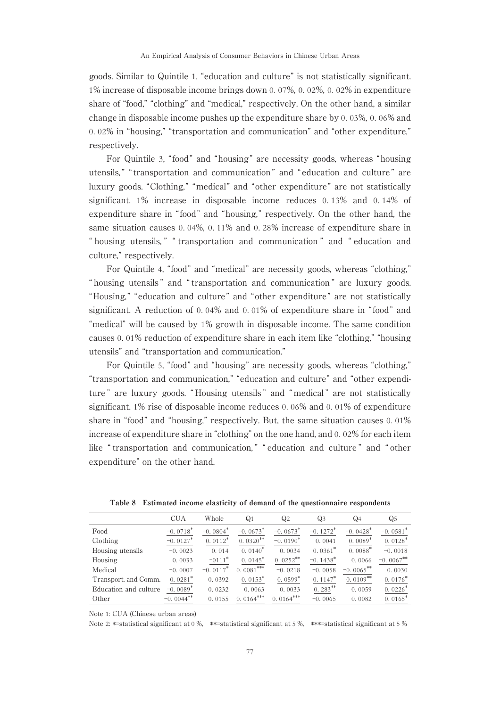goods. Similar to Quintile 1, "education and culture" is not statistically significant. 1% increase of disposable income brings down 0. 07%, 0. 02%, 0. 02% in expenditure share of "food," "clothing" and "medical," respectively. On the other hand, a similar change in disposable income pushes up the expenditure share by 0. 03%, 0. 06% and 0. 02% in "housing," "transportation and communication" and "other expenditure," respectively.

For Quintile 3, " food" and "housing" are necessity goods, whereas "housing utensils, " " transportation and communication " and " education and culture " are luxury goods. "Clothing," "medical" and "other expenditure" are not statistically significant. 1% increase in disposable income reduces 0. 13% and 0. 14% of expenditure share in "food" and "housing," respectively. On the other hand, the same situation causes 0. 04%, 0. 11% and 0. 28% increase of expenditure share in " housing utensils, " " transportation and communication " and " education and culture," respectively.

For Quintile 4, "food" and "medical" are necessity goods, whereas "clothing," " housing utensils " and " transportation and communication " are luxury goods. "Housing," "education and culture" and "other expenditure" are not statistically significant. A reduction of 0. 04% and 0. 01% of expenditure share in " food" and "medical" will be caused by 1% growth in disposable income. The same condition causes 0. 01% reduction of expenditure share in each item like "clothing," "housing utensils" and "transportation and communication."

For Quintile 5, "food" and "housing" are necessity goods, whereas "clothing," "transportation and communication," "education and culture" and "other expenditure " are luxury goods. " Housing utensils " and " medical " are not statistically significant. 1% rise of disposable income reduces 0. 06% and 0. 01% of expenditure share in "food" and "housing," respectively. But, the same situation causes 0. 01% increase of expenditure share in "clothing" on the one hand, and 0. 02% for each item like " transportation and communication, " " education and culture " and " other expenditure" on the other hand.

|                       | CUA                    | Whole                  | Q <sub>1</sub>        | Q2          | Q3                     | Q4                     | Q5                     |
|-----------------------|------------------------|------------------------|-----------------------|-------------|------------------------|------------------------|------------------------|
| Food                  | $-0.0718*$             | $-0.0804*$             | $-0.0673*$            | $-0.0673*$  | $-0.1272$ <sup>*</sup> | $-0.0428$ <sup>*</sup> | $-0.0581$ <sup>*</sup> |
| Clothing              | $-0.0127$ <sup>*</sup> | $0.0112$ <sup>*</sup>  | $0.0320$ **           | $-0.0190*$  | 0.0041                 | $0.0089*$              | $0.0128$ <sup>*</sup>  |
| Housing utensils      | $-0.0023$              | 0.014                  | $0.0140*$             | 0.0034      | $0.0361*$              | $0.0088*$              | $-0.0018$              |
| Housing               | 0.0033                 | $-0111$ <sup>*</sup>   | $0.0145$ <sup>*</sup> | $0.0252$ ** | $-0.1438$ <sup>*</sup> | 0.0066                 | $-0.0067$ **           |
| Medical               | $-0.0007$              | $-0.0117$ <sup>*</sup> | $0.0081***$           | $-0.0218$   | $-0.0058$              | $-0.0065$ **           | 0.0030                 |
| Transport, and Comm.  | $0.0281*$              | 0.0392                 | $0.0153*$             | $0.0599*$   | $0.1147*$              | $0.0109**$             | $0.0176*$              |
| Education and culture | $-0.0089$ <sup>*</sup> | 0.0232                 | 0.0063                | 0.0033      | $0.283***$             | 0.0059                 | $0.0226*$              |
| Other                 | $-0.0044**$            | 0.0155                 | $0.0164***$           | $0.0164***$ | $-0.0065$              | 0.0082                 | $0.0165*$              |

Table 8 Estimated income elasticity of demand of the questionnaire respondents

Note 1: CUA (Chinese urban areas)

Note 2: \*=statistical significant at 0 %, \*\*=statistical significant at 5 %, \*\*\*=statistical significant at 5 %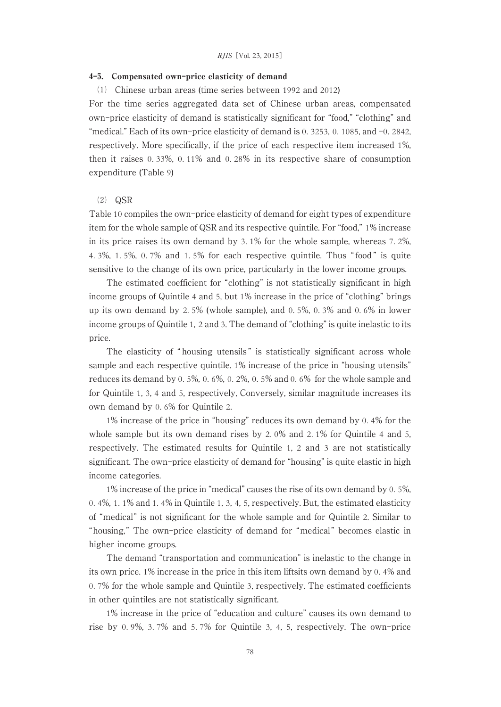#### 4-5. Compensated own-price elasticity of demand

⑴ Chinese urban areas (time series between 1992 and 2012)

For the time series aggregated data set of Chinese urban areas, compensated own-price elasticity of demand is statistically significant for "food," "clothing" and "medical." Each of its own-price elasticity of demand is 0. 3253, 0. 1085, and  $-0.2842$ , respectively. More specifically, if the price of each respective item increased 1%, then it raises 0. 33%, 0. 11% and 0. 28% in its respective share of consumption expenditure (Table 9)

#### ⑵ QSR

Table 10 compiles the own-price elasticity of demand for eight types of expenditure item for the whole sample of QSR and its respective quintile. For "food," 1% increase in its price raises its own demand by 3. 1% for the whole sample, whereas 7. 2%, 4. 3%, 1. 5%, 0. 7% and 1. 5% for each respective quintile. Thus " food " is quite sensitive to the change of its own price, particularly in the lower income groups.

The estimated coefficient for "clothing" is not statistically significant in high income groups of Quintile 4 and 5, but 1% increase in the price of "clothing" brings up its own demand by 2. 5% (whole sample), and 0. 5%, 0. 3% and 0. 6% in lower income groups of Quintile 1, 2 and 3. The demand of "clothing" is quite inelastic to its price.

The elasticity of "housing utensils" is statistically significant across whole sample and each respective quintile. 1% increase of the price in "housing utensils" reduces its demand by 0. 5%, 0. 6%, 0. 2%, 0. 5% and 0. 6% for the whole sample and for Quintile 1, 3, 4 and 5, respectively, Conversely, similar magnitude increases its own demand by 0. 6% for Quintile 2.

1% increase of the price in "housing" reduces its own demand by 0. 4% for the whole sample but its own demand rises by 2. 0% and 2. 1% for Quintile 4 and 5, respectively. The estimated results for Quintile 1, 2 and 3 are not statistically significant. The own-price elasticity of demand for "housing" is quite elastic in high income categories.

1% increase of the price in "medical" causes the rise of its own demand by 0. 5%, 0. 4%, 1. 1% and 1. 4% in Quintile 1, 3, 4, 5, respectively. But, the estimated elasticity of "medical" is not significant for the whole sample and for Quintile 2. Similar to "housing," The own-price elasticity of demand for "medical" becomes elastic in higher income groups.

The demand "transportation and communication" is inelastic to the change in its own price. 1% increase in the price in this item liftsits own demand by 0. 4% and 0. 7% for the whole sample and Quintile 3, respectively. The estimated coefficients in other quintiles are not statistically significant.

1% increase in the price of "education and culture" causes its own demand to rise by 0. 9%, 3. 7% and 5. 7% for Quintile 3, 4, 5, respectively. The own-price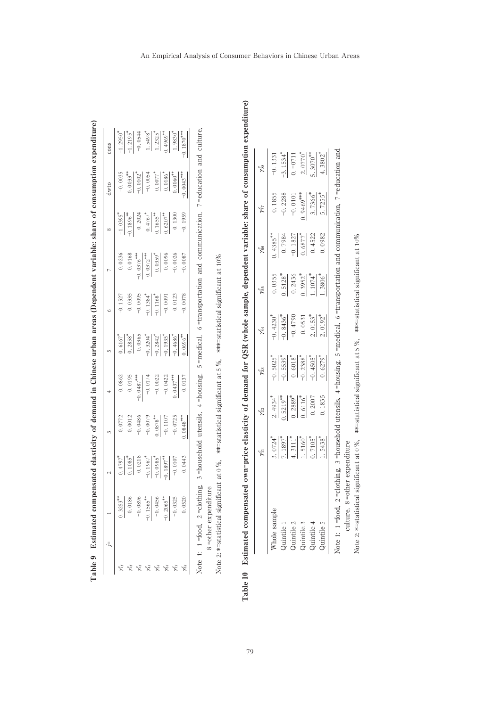|                                                                                                                     | $\sim$                                                                                                                       | $\frac{1}{2}$                                                                                                                               | $\overline{a}$                                                                                                                           |                                                                                                                                                    | $\ddot{\circ}$                                                                                  | $\overline{a}$                                                                                                                                                |                                                                                                                                                                 | dwto                                                                                                 | cons                                                                                                                                         |
|---------------------------------------------------------------------------------------------------------------------|------------------------------------------------------------------------------------------------------------------------------|---------------------------------------------------------------------------------------------------------------------------------------------|------------------------------------------------------------------------------------------------------------------------------------------|----------------------------------------------------------------------------------------------------------------------------------------------------|-------------------------------------------------------------------------------------------------|---------------------------------------------------------------------------------------------------------------------------------------------------------------|-----------------------------------------------------------------------------------------------------------------------------------------------------------------|------------------------------------------------------------------------------------------------------|----------------------------------------------------------------------------------------------------------------------------------------------|
|                                                                                                                     |                                                                                                                              |                                                                                                                                             |                                                                                                                                          |                                                                                                                                                    |                                                                                                 |                                                                                                                                                               |                                                                                                                                                                 |                                                                                                      |                                                                                                                                              |
| $\begin{array}{r} 0.3253^{*}\\ -0.0186\\ -0.0896\\ \hline -0.1565^{*}\\ -0.1565^{*}\\ -0.0456\\ \hline \end{array}$ | $\begin{array}{r} 0.4797^{4} \\ 0.1085^{4} \\ 0.0218 \\ -0.1967^{4} \\ -0.1967^{4} \\ -0.1985^{4} \\ -0.0107 \\ \end{array}$ | $\begin{array}{r} 0.0772 \\ 0.0012 \\ -0.0486 \\ \hline 0.0079 \\ -0.0079 \\ \hline 0.0878^{**} \\ -0.1107 \\ \hline 0.0725 \\ \end{array}$ | $\begin{array}{r} 0.0862 \\ 0.0195 \\ 0.0487^{***} \\ -0.0174 \\ -0.022 \\ -0.0437^{***} \\ \hline 0.022 \\ 0.0437^{***} \\ \end{array}$ | $\begin{array}{r} 0.6167 \\ 0.2858 \\ \hline 0.0365 \\ -0.3204 \\ \hline 1.2842 \\ -0.2842 \\ \hline 0.0358 \\ \hline 0.006 \\ \hline \end{array}$ | -0.1527<br>0.0335<br>0.0095<br>-0.1384 <sup>*</sup><br>-0.116 <sup>*</sup><br>-0.0078<br>0.0123 | $\begin{array}{r} 0.0236 \\ 0.0168 \\ \hline 0.0376^{**} \\ 0.0372^{**} \\ \hline 0.0372^{**} \\ 0.0359^{*} \\ \hline 0.0006 \\ \hline 0.0026 \\ \end{array}$ | $\begin{array}{r} -1.0395^* \\ -0.1896^{*} \\ 0.2024 \\ 0.4767^* \\ \hline 0.1655^{*} \\ 0.1652^{*} \\ 0.0304 \\ 0.0307^{*} \\ 0.0307 \\ 0.1300 \\ \end{array}$ | $-0.0035$<br>$-0.0035$<br>$-0.0102$<br>$-0.0054$<br>$-0.0054$<br>$-0.0060$<br>$-0.0060$<br>$-0.0043$ | $\frac{-1.2950^{\circ}}{-1.2195}$ $\frac{-1.2195^{\circ}}{-1.5498}$ $\frac{1.5498^{\circ}}{1.2325}$ $\frac{1.9830^{\circ}}{-1.9830^{\circ}}$ |
|                                                                                                                     |                                                                                                                              |                                                                                                                                             |                                                                                                                                          |                                                                                                                                                    |                                                                                                 |                                                                                                                                                               |                                                                                                                                                                 |                                                                                                      |                                                                                                                                              |
|                                                                                                                     |                                                                                                                              |                                                                                                                                             |                                                                                                                                          |                                                                                                                                                    |                                                                                                 |                                                                                                                                                               |                                                                                                                                                                 |                                                                                                      |                                                                                                                                              |
|                                                                                                                     |                                                                                                                              |                                                                                                                                             |                                                                                                                                          |                                                                                                                                                    |                                                                                                 |                                                                                                                                                               |                                                                                                                                                                 |                                                                                                      |                                                                                                                                              |
|                                                                                                                     |                                                                                                                              |                                                                                                                                             |                                                                                                                                          |                                                                                                                                                    |                                                                                                 |                                                                                                                                                               |                                                                                                                                                                 |                                                                                                      |                                                                                                                                              |
|                                                                                                                     |                                                                                                                              |                                                                                                                                             |                                                                                                                                          |                                                                                                                                                    |                                                                                                 |                                                                                                                                                               |                                                                                                                                                                 |                                                                                                      |                                                                                                                                              |
|                                                                                                                     |                                                                                                                              |                                                                                                                                             |                                                                                                                                          |                                                                                                                                                    |                                                                                                 |                                                                                                                                                               |                                                                                                                                                                 |                                                                                                      |                                                                                                                                              |

| ā                     |
|-----------------------|
| i<br>l<br>l           |
| Í<br>l                |
|                       |
|                       |
|                       |
|                       |
| €                     |
| i<br>j                |
|                       |
|                       |
|                       |
|                       |
| .<br>.<br>.           |
|                       |
|                       |
|                       |
| i<br>I                |
| ł<br>ł<br>ĺ<br>ׇ֚֘֝֕֕ |

Note 1: 1 = food, 2 = clothing, 3 = household utensils, 4 = housing, 5 = medical, 6 = transportation and communication, 7 = education and culture, Note 1: 1 =food, 2 =clothing, 3 =household utensils, 4 =housing, 5 =medical, 6 =transportation and communication, 7 =education and culture, 8 = other expenditure =other expenditure

Note 2: \*=statistical significant at 0 %, \*\*=statistical significant at 5 %, \*\*\*=statistical significant at 10 %

| j                                                                                |
|----------------------------------------------------------------------------------|
|                                                                                  |
|                                                                                  |
| $\overline{\phantom{a}}$                                                         |
| $\ddot{\phantom{a}}$                                                             |
| Ĭ                                                                                |
|                                                                                  |
| ₿                                                                                |
|                                                                                  |
|                                                                                  |
|                                                                                  |
|                                                                                  |
|                                                                                  |
|                                                                                  |
| 5<br>ĺ                                                                           |
| l                                                                                |
| I                                                                                |
| j                                                                                |
| ē                                                                                |
|                                                                                  |
| i                                                                                |
| $\overline{\phantom{a}}$                                                         |
|                                                                                  |
|                                                                                  |
| ā                                                                                |
|                                                                                  |
|                                                                                  |
| ă                                                                                |
|                                                                                  |
|                                                                                  |
| ana an a                                                                         |
| Ï                                                                                |
| j                                                                                |
|                                                                                  |
| i                                                                                |
|                                                                                  |
|                                                                                  |
|                                                                                  |
|                                                                                  |
| $\ddot{\phantom{0}}$<br>Ì                                                        |
| ı                                                                                |
|                                                                                  |
| ì                                                                                |
|                                                                                  |
| l                                                                                |
| ä                                                                                |
| j                                                                                |
|                                                                                  |
|                                                                                  |
|                                                                                  |
|                                                                                  |
|                                                                                  |
|                                                                                  |
|                                                                                  |
| ֖֖֖֖֖֖֖֖֪ׅ֖֧֪֪֪֪֪֪֪֪֪֪֪֪֪֪֪֪֪֪֪֪֪֪֪֪֪֪֪֪֪֪֪֪֪֪֚֚֚֚֚֚֚֚֚֚֚֚֚֚֚֚֚֚֚֚֚֚֚֚֚֚֚֚֚֬֝֝֓֞ |
|                                                                                  |
|                                                                                  |
|                                                                                  |
|                                                                                  |
| ׇ֦֘֡                                                                             |
|                                                                                  |
| ١<br>Ï                                                                           |
|                                                                                  |
|                                                                                  |
|                                                                                  |
|                                                                                  |
| ļ                                                                                |
| $\overline{\phantom{a}}$                                                         |
| i<br>i                                                                           |
|                                                                                  |
| i<br>l                                                                           |
| ļ                                                                                |
| Ξ                                                                                |
| l<br>ׇ֦֘֡                                                                        |
| ı<br>ś<br>ì<br>I                                                                 |
| Ï<br>İ                                                                           |
| ξ<br>l                                                                           |

|                               | χi<br>Σ                                                                                               | $\gamma^c_{22}$                                                                          | žã                                                                                                                                       | γ4<br>74                                                                                                                      | $\chi^2_{55}$                                                                           | $\chi^2_{66}$                                                                                                | $\gamma^c_{77}$                                                                                      | $\chi^2_{\rm ss}$                                                                                |
|-------------------------------|-------------------------------------------------------------------------------------------------------|------------------------------------------------------------------------------------------|------------------------------------------------------------------------------------------------------------------------------------------|-------------------------------------------------------------------------------------------------------------------------------|-----------------------------------------------------------------------------------------|--------------------------------------------------------------------------------------------------------------|------------------------------------------------------------------------------------------------------|--------------------------------------------------------------------------------------------------|
|                               |                                                                                                       |                                                                                          |                                                                                                                                          |                                                                                                                               |                                                                                         |                                                                                                              | 0.1855                                                                                               |                                                                                                  |
| <i>luintile</i>               |                                                                                                       |                                                                                          |                                                                                                                                          |                                                                                                                               |                                                                                         |                                                                                                              |                                                                                                      |                                                                                                  |
|                               |                                                                                                       |                                                                                          |                                                                                                                                          |                                                                                                                               |                                                                                         |                                                                                                              |                                                                                                      |                                                                                                  |
| Quintile<br>Quintile          |                                                                                                       | $\frac{2.4934^4}{0.5219^{44}}$<br>$\frac{0.2889^3}{0.016^4}$<br>$\frac{0.016^4}{0.2007}$ |                                                                                                                                          |                                                                                                                               |                                                                                         | $\begin{array}{r} 0.4385^* \\ -0.7984 \\ -0.1827 \\ -0.6877^* \\ 0.6877^* \\ -0.4522 \\ -0.0982 \end{array}$ |                                                                                                      |                                                                                                  |
| <i><u><b>Quintile</b></u></i> |                                                                                                       |                                                                                          |                                                                                                                                          |                                                                                                                               |                                                                                         |                                                                                                              |                                                                                                      |                                                                                                  |
| <i>puintile</i>               | $\frac{3.0724^{4}}{7.1897^{4}}$<br>$\frac{4.3111^{4}}{1.5160^{4}}$<br>$\frac{1.5160^{*}}{1.5438^{*}}$ |                                                                                          | $\begin{array}{c} 6.5025 \pm 0.5025 \pm 0.5539 \pm 0.6018 \pm 0.2388 \pm 0.2388 \pm 0.4505 \pm 0.4505 \pm 0.4505 \pm 0.4505 \end{array}$ | $\begin{array}{c}\n\text{-} 1.4230^* \\ \text{-} 8436^* \\ \text{-} 0.4790 \\ \text{-} 0.0531 \\ \text{-} 0.033\n\end{array}$ | $\begin{array}{c} 0.0355 \\ 0.5128 \\ 0.2436 \\ 0.3952 \\ \hline 1.1074 \\ \end{array}$ |                                                                                                              | $-0.2288$<br>$-0.0101$<br>$-9469$ <sup>***</sup><br>$-9.7366$ <sup>*</sup><br>$-1.7255$ <sup>*</sup> | $\frac{-3.1534^*}{-3.1534^*}$<br>$\frac{-3.1534^*}{0. -0711}$<br>$\frac{2.0770^{*}}{5.3070^{*}}$ |
| $2 =$ clothing.<br>$=$ food   | $\lambda =$ househo                                                                                   | rtensils                                                                                 | $=$ housing                                                                                                                              | =medical.                                                                                                                     | "portation.                                                                             |                                                                                                              |                                                                                                      |                                                                                                  |

Note 2: \*=statistical significant at 0 %, \*\*=statistical significant at 5 %, \*\*\*=statistical significant at 10% Note 2: \*=statistical significant at 0 %, \*\*=statistical significant at 5 %, \*\*\*=statistical significant at 10 culture, 8 = other expenditure culture, 8 =other expenditure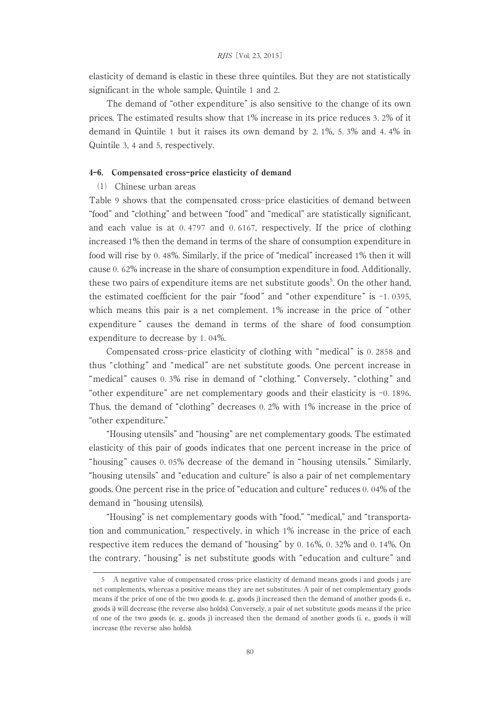elasticity of demand is elastic in these three quintiles. But they are not statistically significant in the whole sample, Quintile 1 and 2.

The demand of "other expenditure" is also sensitive to the change of its own prices. The estimated results show that 1% increase in its price reduces 3. 2% of it demand in Quintile 1 but it raises its own demand by 2. 1%, 5. 3% and 4. 4% in Quintile 3, 4 and 5, respectively.

#### 4-6. Compensated cross-price elasticity of demand

# ⑴ Chinese urban areas

Table 9 shows that the compensated cross-price elasticities of demand between "food" and "clothing" and between "food" and "medical" are statistically significant, and each value is at 0. 4797 and 0. 6167, respectively. If the price of clothing increased 1% then the demand in terms of the share of consumption expenditure in food will rise by 0. 48%. Similarly, if the price of "medical" increased 1% then it will cause 0. 62% increase in the share of consumption expenditure in food. Additionally, these two pairs of expenditure items are net substitute goods<sup>5</sup>. On the other hand, the estimated coefficient for the pair "food" and "other expenditure" is  $-1$ . 0395, which means this pair is a net complement. 1% increase in the price of "other expenditure " causes the demand in terms of the share of food consumption expenditure to decrease by 1. 04%.

Compensated cross-price elasticity of clothing with "medical" is 0. 2858 and thus "clothing" and "medical" are net substitute goods. One percent increase in "medical" causes 0.3% rise in demand of "clothing." Conversely, "clothing" and "other expenditure" are net complementary goods and their elasticity is -0. 1896. Thus, the demand of "clothing" decreases 0. 2% with 1% increase in the price of "other expenditure."

"Housing utensils" and "housing" are net complementary goods. The estimated elasticity of this pair of goods indicates that one percent increase in the price of "housing" causes 0. 05% decrease of the demand in "housing utensils." Similarly, "housing utensils" and "education and culture" is also a pair of net complementary goods. One percent rise in the price of "education and culture" reduces 0. 04% of the demand in "housing utensils).

"Housing" is net complementary goods with "food," "medical," and "transportation and communication," respectively, in which 1% increase in the price of each respective item reduces the demand of "housing" by 0. 16%, 0. 32% and 0. 14%. On the contrary, "housing" is net substitute goods with "education and culture" and

<sup>5</sup> A negative value of compensated cross-price elasticity of demand means goods i and goods j are net complements, whereas a positive means they are net substitutes. A pair of net complementary goods means if the price of one of the two goods (e. g., goods j) increased then the demand of another goods (i. e., goods i) will decrease (the reverse also holds). Conversely, a pair of net substitute goods means if the price of one of the two goods (e. g., goods j) increased then the demand of another goods (i. e., goods i) will increase (the reverse also holds).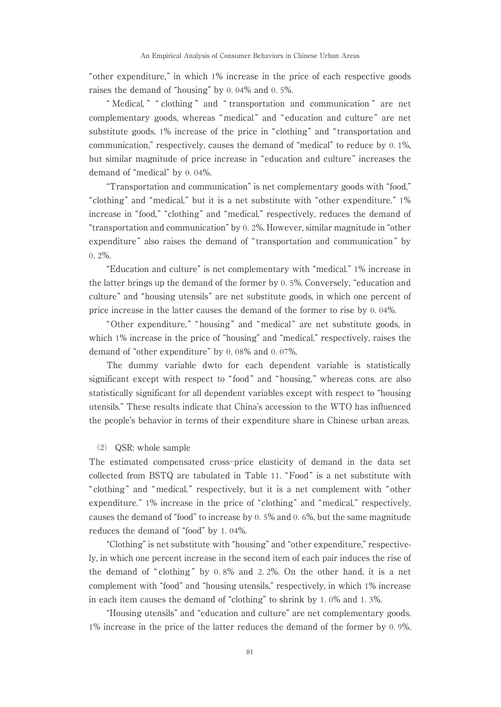"other expenditure," in which 1% increase in the price of each respective goods raises the demand of "housing" by 0. 04% and 0. 5%.

" Medical, " " clothing " and " transportation and communication " are net complementary goods, whereas "medical " and " education and culture " are net substitute goods. 1% increase of the price in "clothing" and "transportation and communication," respectively, causes the demand of "medical" to reduce by 0. 1%, but similar magnitude of price increase in "education and culture" increases the demand of "medical" by 0. 04%.

"Transportation and communication" is net complementary goods with "food," "clothing" and "medical," but it is a net substitute with "other expenditure." 1% increase in "food," "clothing" and "medical," respectively, reduces the demand of "transportation and communication" by 0. 2%. However, similar magnitude in "other expenditure " also raises the demand of " transportation and communication " by 0. 2%.

"Education and culture" is net complementary with "medical." 1% increase in the latter brings up the demand of the former by 0. 5%. Conversely, "education and culture" and "housing utensils" are net substitute goods, in which one percent of price increase in the latter causes the demand of the former to rise by 0. 04%.

" Other expenditure, " " housing " and "medical " are net substitute goods, in which 1% increase in the price of "housing" and "medical," respectively, raises the demand of "other expenditure" by 0. 08% and 0. 07%.

The dummy variable dwto for each dependent variable is statistically significant except with respect to "food" and "housing," whereas cons. are also statistically significant for all dependent variables except with respect to "housing utensils." These results indicate that China's accession to the WTO has influenced the people's behavior in terms of their expenditure share in Chinese urban areas.

# ⑵ QSR: whole sample

The estimated compensated cross-price elasticity of demand in the data set collected from BSTQ are tabulated in Table 11. "Food " is a net substitute with " clothing " and "medical, " respectively, but it is a net complement with " other expenditure." 1% increase in the price of "clothing" and "medical," respectively, causes the demand of "food" to increase by 0. 5% and 0. 6%, but the same magnitude reduces the demand of "food" by 1. 04%.

"Clothing" is net substitute with "housing" and "other expenditure," respectively, in which one percent increase in the second item of each pair induces the rise of the demand of " clothing " by 0. 8% and 2. 2%. On the other hand, it is a net complement with "food" and "housing utensils," respectively, in which 1% increase in each item causes the demand of "clothing" to shrink by 1. 0% and 1. 3%.

"Housing utensils" and "education and culture" are net complementary goods. 1% increase in the price of the latter reduces the demand of the former by 0. 9%.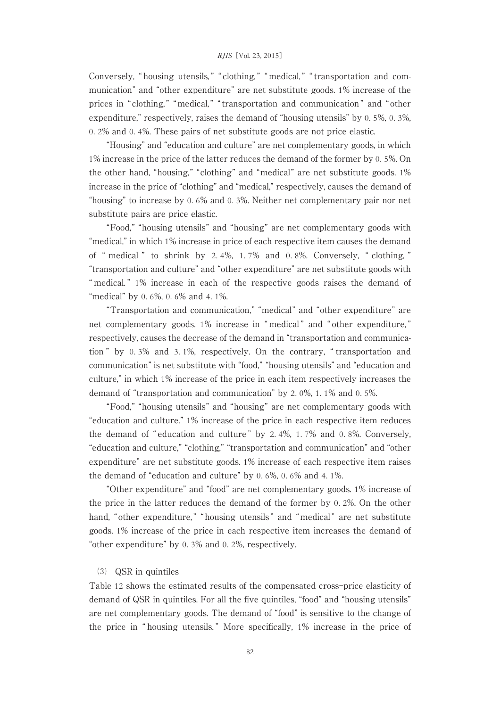Conversely, "housing utensils," " clothing," " medical," " transportation and communication" and "other expenditure" are net substitute goods. 1% increase of the prices in "clothing," "medical," "transportation and communication" and "other expenditure," respectively, raises the demand of "housing utensils" by 0. 5%, 0. 3%, 0. 2% and 0. 4%. These pairs of net substitute goods are not price elastic.

"Housing" and "education and culture" are net complementary goods, in which 1% increase in the price of the latter reduces the demand of the former by 0. 5%. On the other hand, "housing," "clothing" and "medical" are net substitute goods. 1% increase in the price of "clothing" and "medical," respectively, causes the demand of "housing" to increase by 0. 6% and 0. 3%. Neither net complementary pair nor net substitute pairs are price elastic.

"Food," "housing utensils" and "housing" are net complementary goods with "medical," in which 1% increase in price of each respective item causes the demand of " medical " to shrink by 2. 4%, 1. 7% and 0. 8%. Conversely, " clothing, " "transportation and culture" and "other expenditure" are net substitute goods with " medical. " 1% increase in each of the respective goods raises the demand of "medical" by 0. 6%, 0. 6% and 4. 1%.

"Transportation and communication," "medical" and "other expenditure" are net complementary goods. 1% increase in " medical " and " other expenditure, " respectively, causes the decrease of the demand in "transportation and communication " by 0. 3% and 3. 1%, respectively. On the contrary, " transportation and communication" is net substitute with "food," "housing utensils" and "education and culture," in which 1% increase of the price in each item respectively increases the demand of "transportation and communication" by 2. 0%, 1. 1% and 0. 5%.

"Food," "housing utensils" and "housing" are net complementary goods with "education and culture." 1% increase of the price in each respective item reduces the demand of " education and culture " by 2. 4%, 1. 7% and 0. 8%. Conversely, "education and culture," "clothing," "transportation and communication" and "other expenditure" are net substitute goods. 1% increase of each respective item raises the demand of "education and culture" by 0. 6%, 0. 6% and 4. 1%.

"Other expenditure" and "food" are net complementary goods. 1% increase of the price in the latter reduces the demand of the former by 0. 2%. On the other hand, "other expenditure," "housing utensils" and "medical" are net substitute goods. 1% increase of the price in each respective item increases the demand of "other expenditure" by 0. 3% and 0. 2%, respectively.

#### ⑶ QSR in quintiles

Table 12 shows the estimated results of the compensated cross-price elasticity of demand of QSR in quintiles. For all the five quintiles, "food" and "housing utensils" are net complementary goods. The demand of "food" is sensitive to the change of the price in " housing utensils. " More specifically, 1% increase in the price of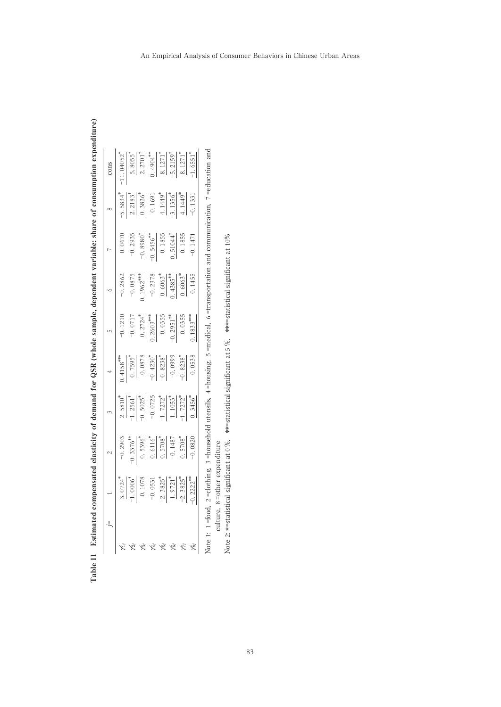| $\begin{array}{c} 3.0724^* \\ -1.0006^* \\ 0.10788 \\ -0.0531 \\ -2.3825^* \\ \hline 1.9721^* \\ -1.9825^* \\ \end{array}$ | $-0.2903$<br>$0.3376^{*4}$<br>$0.5396^{*4}$<br>$0.6116^{*4}$<br>$-0.1487$<br>$-0.1487$<br>$-0.0820$ | $\frac{2.5810^*}{-1.2561^*}$<br>$\frac{-1.2561^*}{-0.5025^*}$<br>$\frac{-1.7272^*}{-1.1053^*}$<br>$\frac{-1.1053^*}{-1.7272^*}$ | $\begin{array}{r} \text{7.59}^{\text{3434}} \\ \text{0.7595}^{\ast} \\ \text{0.0878} \\ \text{0.0878} \\ \text{-0.4230}^{\ast} \\ \text{-0.4230}^{\ast} \\ \text{-0.8238}^{\ast} \\ \text{-0.0999} \\ \text{-0.0998} \end{array}$ | $-0.121$<br>$-0.0717$<br>$0.2724$<br>$0.2603$<br>$0.0355$<br>$-0.0355$<br>$-0.2951$<br>$0.0355$ | $-0.2862$<br>$-0.0875$<br>$-0.0875$<br>$-0.2378$<br>$-0.4385$<br>$-0.4985$<br>$-0.663$<br>$0.4955$ | $\begin{array}{r} 0.067\\ -0.293\\ \hline 1.936\\ -0.8980\\ \hline 0.1456\\ \hline 0.1855\\ 0.1855\\ 0.104\\ \end{array}$ | $\frac{-5.5834^4}{2.2183^3}$<br>$\frac{2.2183^3}{0.3826^4}$<br>$\frac{4.1449^4}{1.1356^4}$<br>$\frac{4.1449^3}{0.1356^4}$ | $\frac{1.1 \cdot 0.4052^{3}}{5.8055}$ $\frac{2.2701^{4}}{0.4904^{49}}$ $\frac{8.1271^{4}}{5.2159^{4}}$ $\frac{8.1271^{4}}{5.2159^{4}}$ $\frac{1.6551^{4}}{6.1257}$ |
|----------------------------------------------------------------------------------------------------------------------------|-----------------------------------------------------------------------------------------------------|---------------------------------------------------------------------------------------------------------------------------------|-----------------------------------------------------------------------------------------------------------------------------------------------------------------------------------------------------------------------------------|-------------------------------------------------------------------------------------------------|----------------------------------------------------------------------------------------------------|---------------------------------------------------------------------------------------------------------------------------|---------------------------------------------------------------------------------------------------------------------------|--------------------------------------------------------------------------------------------------------------------------------------------------------------------|
|                                                                                                                            |                                                                                                     |                                                                                                                                 |                                                                                                                                                                                                                                   |                                                                                                 |                                                                                                    |                                                                                                                           |                                                                                                                           |                                                                                                                                                                    |

Table 11 Estimated compensated elasticity of demand for QSR (whole sample, dependent variable: share of consumption expenditure) Table 11 Estimated compensated elasticity of demand for QSR (whole sample, dependent variable: share of consumption expenditure)

Note 1: 1=food, 2=clothing, 3=household utensils, 4=housing, 5=medical, 6=transportation and communication, 7=education and Note 1: 1 =food, 2 =clothing, 3 =household utensils, 4 =housing, 5 =medical, 6 =transportation and communication, 7 =education and culture,  $\,$  s =<br>other expenditure culture, 8 =other expenditure

Note 2: \*=statistical significant at 0 %, \*\*=statistical significant at 5 %, \*\*\*=statistical significant at 10 Note 2: \*= statistical significant at 0 %, \*\*= statistical significant at 5 %, \*\*\*= statistical significant at 10%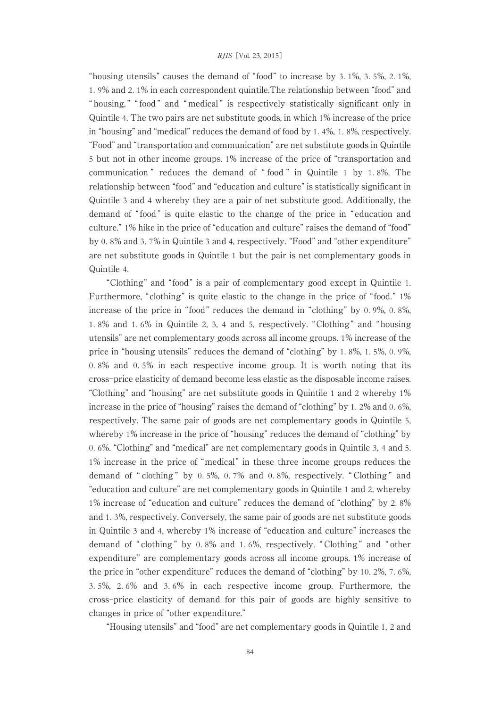"housing utensils" causes the demand of "food" to increase by 3. 1%, 3. 5%, 2. 1%, 1. 9% and 2. 1% in each correspondent quintile.The relationship between "food" and " housing," "food" and " medical" is respectively statistically significant only in Quintile 4. The two pairs are net substitute goods, in which 1% increase of the price in "housing" and "medical" reduces the demand of food by 1. 4%, 1. 8%, respectively. "Food" and "transportation and communication" are net substitute goods in Quintile 5 but not in other income groups. 1% increase of the price of "transportation and communication " reduces the demand of " food " in Quintile 1 by 1. 8%. The relationship between "food" and "education and culture" is statistically significant in Quintile 3 and 4 whereby they are a pair of net substitute good. Additionally, the demand of "food" is quite elastic to the change of the price in " education and culture." 1% hike in the price of "education and culture" raises the demand of "food" by 0. 8% and 3. 7% in Quintile 3 and 4, respectively. "Food" and "other expenditure" are net substitute goods in Quintile 1 but the pair is net complementary goods in Quintile 4.

"Clothing" and "food" is a pair of complementary good except in Quintile 1. Furthermore, "clothing" is quite elastic to the change in the price of "food." 1% increase of the price in "food" reduces the demand in "clothing" by 0. 9%, 0. 8%, 1. 8% and 1. 6% in Quintile 2, 3, 4 and 5, respectively. "Clothing " and " housing utensils" are net complementary goods across all income groups. 1% increase of the price in "housing utensils" reduces the demand of "clothing" by 1. 8%, 1. 5%, 0. 9%, 0. 8% and 0. 5% in each respective income group. It is worth noting that its cross-price elasticity of demand become less elastic as the disposable income raises. "Clothing" and "housing" are net substitute goods in Quintile 1 and 2 whereby 1% increase in the price of "housing" raises the demand of "clothing" by 1. 2% and 0. 6%, respectively. The same pair of goods are net complementary goods in Quintile 5, whereby 1% increase in the price of "housing" reduces the demand of "clothing" by 0. 6%. "Clothing" and "medical" are net complementary goods in Quintile 3, 4 and 5. 1% increase in the price of "medical" in these three income groups reduces the demand of " clothing " by 0. 5%, 0. 7% and 0. 8%, respectively. " Clothing " and "education and culture" are net complementary goods in Quintile 1 and 2, whereby 1% increase of "education and culture" reduces the demand of "clothing" by 2. 8% and 1. 3%, respectively. Conversely, the same pair of goods are net substitute goods in Quintile 3 and 4, whereby 1% increase of "education and culture" increases the demand of " clothing " by 0. 8% and 1. 6%, respectively. " Clothing " and " other expenditure" are complementary goods across all income groups. 1% increase of the price in "other expenditure" reduces the demand of "clothing" by 10. 2%, 7. 6%, 3. 5%, 2. 6% and 3. 6% in each respective income group. Furthermore, the cross-price elasticity of demand for this pair of goods are highly sensitive to changes in price of "other expenditure."

"Housing utensils" and "food" are net complementary goods in Quintile 1, 2 and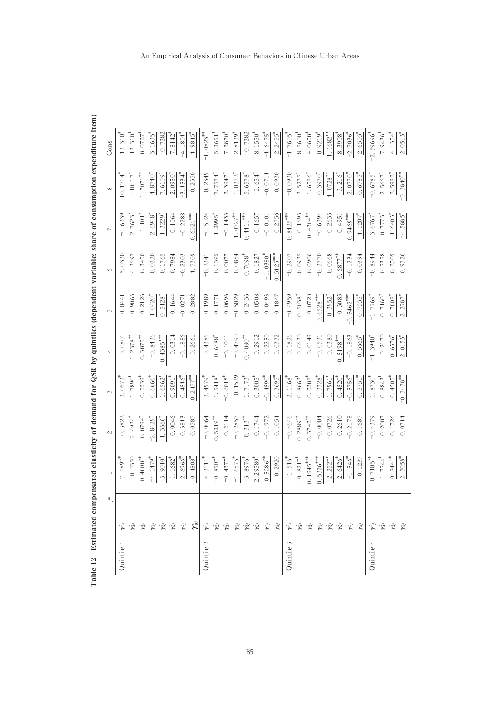| Quintile<br>Quintile |     |                               |                         | $\tilde{\mathcal{E}}$        | $\overline{\phantom{a}}$                                                                        | LO                                     | $\circ$               | $\overline{a}$                                                     | $\infty$                                                                                  | Cons                                                                                           |
|----------------------|-----|-------------------------------|-------------------------|------------------------------|-------------------------------------------------------------------------------------------------|----------------------------------------|-----------------------|--------------------------------------------------------------------|-------------------------------------------------------------------------------------------|------------------------------------------------------------------------------------------------|
|                      |     | 7.1897                        | 0.382                   | $\frac{3.0573^4}{-1.7890^4}$ | 0.080                                                                                           | 0.0441                                 | 5.0330                | $-0.633$                                                           | 10.1714                                                                                   | $13.310^{4}$                                                                                   |
|                      |     | $-0.0350$                     | 2.4934                  |                              |                                                                                                 | $-0.9065$                              | $-4.3697$             | $-2.7623$                                                          |                                                                                           | $-13.3104$                                                                                     |
|                      |     | $-0.4808$ <sup>*</sup>        | $0.8794$ <sup>2</sup>   | $-0.5539$ <sup>2</sup>       | $\frac{1.2378}{0.3875}$                                                                         | $-0.2126$                              |                       | $\frac{-1.101^{4}}{2.6948^{*}}$<br>$\frac{2.6948^{*}}{1.3229^{*}}$ | $\frac{-10.17^*}{1.7071^{*4}}$                                                            | $\frac{8.0727^*}{3.1635^*}$                                                                    |
|                      |     | $-4.1479$ <sup>*</sup>        | $-2.8429$ <sup>*</sup>  | 0.6666                       | $-0.8436$                                                                                       | $1.0420^{4}$                           | $0.3450$<br>$0.0220$  |                                                                    |                                                                                           |                                                                                                |
|                      |     | $-5.90104$                    | $-1.3566$ <sup>*</sup>  | $-1.6562$ <sup>*</sup>       | $-0.4385***$                                                                                    | $0.5128$ <sup>*</sup>                  | 0.1765                |                                                                    | $\frac{4.8740^*}{7.6109^*}$<br>$-2.0950^*$                                                |                                                                                                |
|                      |     | $1.1682$ <sup>*</sup>         | 0.0046                  | $\frac{0.9091^4}{2}$         | 0.0314                                                                                          | $-0.1644$                              | 0.7984                |                                                                    |                                                                                           | $7.8142$ <sup>*</sup>                                                                          |
|                      |     | $2.6966*$                     | 0.3813                  | 0.4516                       | $-0.1886$                                                                                       | $-0.0271$                              | $-0.2303$             | $-0.2288$                                                          | $-3.1534$ <sup>*</sup>                                                                    | $-4.1801$ <sup>*</sup>                                                                         |
|                      | χã  | $-0.4808$                     | 0.0587                  | $0.2477***$                  | $-0.2661$                                                                                       | $-0.2882$                              | $-1.7305$             | $0.6021***$                                                        | 0.2350                                                                                    | $-1.9845$ <sup>*</sup>                                                                         |
|                      |     | 4.3111                        | $-0.0064$               | $3.4979$ <sup>*</sup>        |                                                                                                 | 0.1989                                 | $-0.2341$             | $-0.5024$                                                          |                                                                                           | $-1.0823***$                                                                                   |
|                      |     | $-0.8507$ <sup>*</sup>        | $0.5219***$             | $-1.5418$ <sup>*</sup>       | $0.4386$<br>$0.6488$ <sup>*</sup><br>$-0.1011$                                                  | 0.1771                                 |                       | $\frac{-1.2995^*}{-0.1433}$                                        |                                                                                           |                                                                                                |
|                      |     | $-0.4377$ <sup>*</sup>        | 0.2114                  | $-0.6018$ <sup>*</sup>       |                                                                                                 | 0.0696                                 | $0.1395$<br>$0.0077$  |                                                                    |                                                                                           |                                                                                                |
|                      |     | $\frac{-1.6575^*}{-3.8976^*}$ | $-0.2857$               | 0.1529                       | $-0.4790$                                                                                       | $-0.5029$                              | 0.0854                |                                                                    |                                                                                           |                                                                                                |
|                      |     |                               | $\frac{-0.313}{0.1744}$ |                              |                                                                                                 |                                        | $0.7098$ <sup>*</sup> | $\frac{1.0727}{0.4411}$                                            |                                                                                           |                                                                                                |
|                      |     | $2.29580^{*}$                 |                         | $\frac{-1.7173^*}{0.3005^*}$ | $\begin{array}{r} -0.4080^{**} \\ \hline -0.2912 \\ 0.2250 \\ \end{array}$                      | $0.2436$<br>-0.0508                    | $-0.1827$             | 0.1657                                                             | 0. 2349<br>$\frac{-7.7574}{2.3947}$<br>2. 3947<br>1. 0372*<br>5. 6578*<br>54*<br>-0. 0711 | $\frac{-15.3651^*}{7.2870^*}$<br>$\frac{2.8139^*}{-1.28139^*}$<br>$\frac{2.8139^*}{-1.6475^*}$ |
|                      | ξý  | $0.5286***$                   | $-0.1972$               |                              |                                                                                                 | 0.0493                                 | $-1.0380^*$           | $-0.0101$                                                          |                                                                                           |                                                                                                |
|                      |     | $-0.2920$                     | $-0.1054$               | $0.3695$ <sup>*</sup>        |                                                                                                 | $-0.1847$                              | $0.5125***$           | 0.2756                                                             | 0.0930                                                                                    | $2.2455$ <sup>*</sup>                                                                          |
| Quintile             |     |                               | $-0.4646$               | $2.1168$ <sup>*</sup>        |                                                                                                 | $-0.4959$                              | $-0.2907$             | $0.8425***$                                                        | $-0.0930$                                                                                 | $-1.7605$ <sup>*</sup>                                                                         |
|                      |     | $\frac{1.516^*}{-0.8217^*}$   | $0.2889^{**}$           | $-0.8663$ <sup>*</sup>       |                                                                                                 | $-0.5038$ <sup>*</sup>                 | $-0.0935$             | 0.1695                                                             |                                                                                           |                                                                                                |
|                      |     | $-0.1945***$                  | $0.3742***$             |                              |                                                                                                 |                                        | 0.0906                | $-0.4304^{*4}$                                                     |                                                                                           |                                                                                                |
|                      |     | $0.5326***$                   | $-0.0004$               | $\frac{-0.2388^*}{0.3328^*}$ | $\begin{array}{r} 0.1826 \\ 0.0630 \\ \hline 0.0149 \\ -0.0531 \\ \hline 0.0531 \\ \end{array}$ | $0.0728$<br>$0.6528***$                |                       | $-0.6394$                                                          | $\frac{-3.5275^*}{1.6586^*}$<br>$\frac{1.6586^*}{0.3970^*}$                               | $\frac{-8.5600^*}{4.0658^*}$<br>$\frac{4.0658^*}{0.9219^*}$                                    |
|                      |     | $-2.2527$ <sup>*</sup>        | $-0.0726$               | $-1.7961$ <sup>*</sup>       |                                                                                                 | $0.3952$ <sup>*</sup>                  | $-0.3770$<br>0.0668   | $-0.2635$                                                          |                                                                                           |                                                                                                |
|                      | Š   |                               | 0.2610                  | $\frac{0.4520^*}{-0.5756^*}$ | $-0.5198***$                                                                                    |                                        | $0.6877***$           | 0.4951                                                             | $\frac{-3.216^*}{2.0770^*}$                                                               | $8.3908$ <sup>*</sup>                                                                          |
|                      |     | $\frac{2.6426}{-1.546}$       | $-0.2178$               |                              | $-0.1863$                                                                                       |                                        | $-0.1234$             | $0.9469***$                                                        |                                                                                           | $-2.7036$ <sup>*</sup>                                                                         |
|                      |     | 0.1237                        | $-0.1687$               | $0.5751$ <sup>2</sup>        | $0.5665$ <sup>*</sup>                                                                           | $-0.3085$<br>$-0.5462***$<br>$0.7335*$ | 0.0394                | $-1.1207$ <sup>*</sup>                                             | $-0.6785$ <sup>*</sup>                                                                    | $2.6503*$                                                                                      |
| Quintile             |     | $\frac{0.7105^{**}}{-1.7544}$ | $-0.4379$               | $1.8730^{4}$                 | $-1.3940^*$                                                                                     | $\frac{-1.7769^*}{-0.7160^*}$          | $-0.8944$             | $\frac{3.6767^*}{0.7773^*}$                                        | $-0.6785$ <sup>*</sup>                                                                    | $-2.59696*$                                                                                    |
|                      | 6 X |                               | 0.2007                  | $-0.8843$ <sup>*</sup>       | $-0.2170$                                                                                       |                                        | 0.5358                |                                                                    | $-2.5667$                                                                                 | $-7.9436^*$                                                                                    |
|                      |     | 0.8441                        | 0.1726                  | $-0.4505$ <sup>*</sup>       |                                                                                                 |                                        | $-0.2509$             | $-1.6403$                                                          | $2.5982$ <sup>*</sup>                                                                     |                                                                                                |
|                      |     | $2.3058$ <sup>*</sup>         | 0.0714                  | $0.3478$ <sup>*</sup>        | $\frac{0.6576^4}{2.0153^4}$                                                                     | $\frac{0.7808^4}{2.2787^4}$            | 0.9326                | $-4.5885$                                                          | $-0.3840$ <sup>*</sup>                                                                    | $\frac{4.1354^*}{2.0513^*}$                                                                    |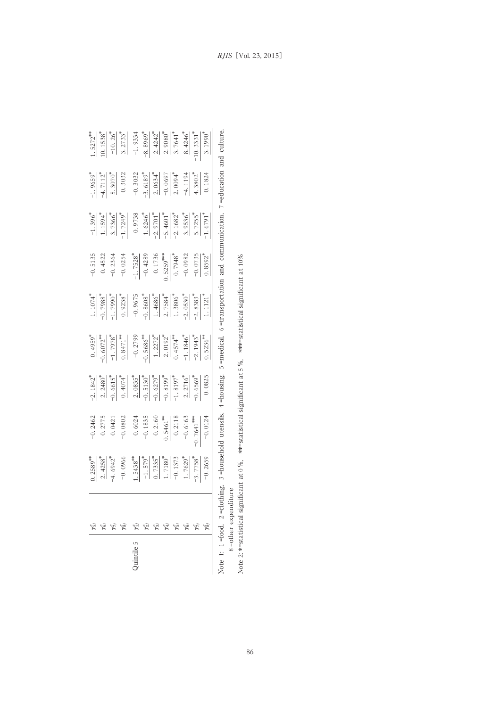|                                                                                    | $\begin{array}{r rrrr} 1.5272^{44} \\ -1.5372^{43} \\ -10.1538^{4} \\ -1.2737^{44} \\ -1.933 & -1.733 \\ -1.933 & -1.733 \\ -1.933 & -1.733 \\ -1.933 & -1.933 \\ -1.933 & -1.933 \\ -1.933 & -1.933 \\ -1.933 & -1.933 \\ -1.933 & -1.933 \\ -1.933 & -1.933 \\ -1.933 & -1.933 \\ -1.933 & -1.933 \\ -1.933 & -$                                                            |
|------------------------------------------------------------------------------------|-------------------------------------------------------------------------------------------------------------------------------------------------------------------------------------------------------------------------------------------------------------------------------------------------------------------------------------------------------------------------------|
| $\frac{1.9659^{\circ}}{1.7112^{\circ}}$<br>$\frac{4.7112^{\circ}}{5.3070^{\circ}}$ | $\begin{array}{r l}\n-0.3032 \\ -3.6189 \\ -2.0634 \\ -0.0697 \\ -4.194 \\ \hline\n+1.3802 \\ \end{array}$                                                                                                                                                                                                                                                                    |
|                                                                                    | $\frac{-1.396^{8}}{1.1594^{8}}\n\frac{60}{24} = \frac{1.1594^{8}}{1.1724^{1}}\n\frac{1.1594^{8}}{1.1624^{1}}\n\frac{1.1594^{8}}{1.1624^{1}}\n\frac{1.1594^{8}}{1.1624^{1}}\n\frac{1.6246^{8}}{1.1624^{1}}\n\frac{1.6246^{8}}{1.1624^{1}}\n\frac{1.6255^{8}}{1.1624^{1}}\n\frac{1.6255^{8}}{1.1624$                                                                            |
| $-0.5135$<br>0.4522<br>$-0.2364$<br>0.0254                                         | $\begin{array}{r l}\n\hline\n1.7528 \\ -0.4289 \\ -0.1736 \\ 0.1736 \\ -0.0982 \\ -0.0982 \\ -0.0082\n\end{array}$                                                                                                                                                                                                                                                            |
|                                                                                    | $\begin{array}{r rrrr} 1.1074 \\ -1.7988 \\ -1.9238 \\ -1.1098 \\ -1.1098 \\ -1.1098 \\ -1.1098 \\ -1.1098 \\ -1.1098 \\ -1.1098 \\ -1.1098 \\ -1.1098 \\ -1.1098 \\ -1.1098 \\ -1.1098 \\ -1.1098 \\ -1.112 \\ -1.112 \\ \end{array}$                                                                                                                                        |
|                                                                                    |                                                                                                                                                                                                                                                                                                                                                                               |
|                                                                                    |                                                                                                                                                                                                                                                                                                                                                                               |
|                                                                                    |                                                                                                                                                                                                                                                                                                                                                                               |
|                                                                                    | $\begin{array}{r} \n 1.2589 \text{ }}{\text{--}}\\ \n 2.4258 \text{ }{}^{+}\\ \n 3.6942 \text{ }{}^{+}\\ \n 4.6942 \text{ }{}^{+}\\ \n -0.0966 \text{ }{}^{+}\\ \n -1.5438 \text{ }{}^{+}\\ \n -1.572 \text{ }{}^{+}\\ \n -1.7180 \text{ }{}^{+}\\ \n -1.7180 \text{ }{}^{+}\\ \n -1.7180 \text{ }{}^{+}\\ \n -1.7180 \text{ }{}^{+}\\ \n -1.7180 \text{ }{}^{+}\\ \n -1.718$ |
|                                                                                    |                                                                                                                                                                                                                                                                                                                                                                               |
|                                                                                    | $\lambda$ uintile                                                                                                                                                                                                                                                                                                                                                             |

Note 1: 1=food, 2=clothing, 3=household utensils, 4=housing, 5=medical, 6=transportation and communication, 7=education and culture, Note 1: 1 =food, 2 =clothing, 3 =household utensils, 4 =housing, 5 =medical, 6 =transportation and communication, 7 =education and culture, 8 = other expenditure =other expenditure

Note 2: \*=statistical significant at 0%, \*\*=statistical significant at 5%, \*\*\*=statistical significant at 10% Note 2: \*=statistical significant at 0 %, \*\*=statistical significant at 5 %, \*\*\*=statistical significant at 10%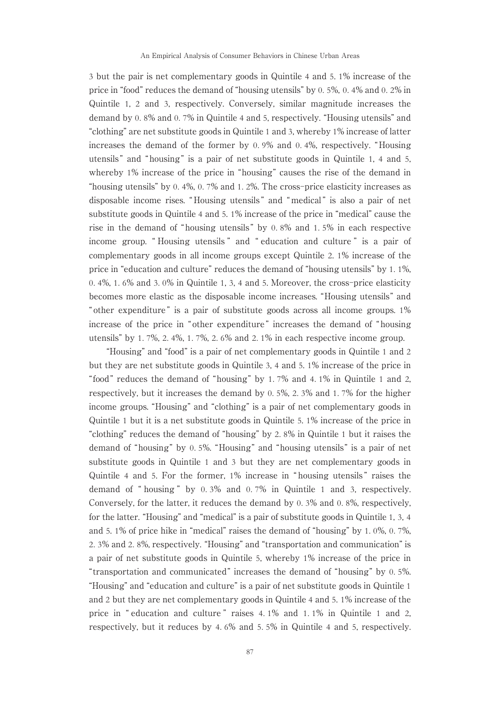3 but the pair is net complementary goods in Quintile 4 and 5. 1% increase of the price in "food" reduces the demand of "housing utensils" by 0. 5%, 0. 4% and 0. 2% in Quintile 1, 2 and 3, respectively. Conversely, similar magnitude increases the demand by 0. 8% and 0. 7% in Quintile 4 and 5, respectively. "Housing utensils" and "clothing" are net substitute goods in Quintile 1 and 3, whereby 1% increase of latter increases the demand of the former by 0. 9% and 0. 4%, respectively. "Housing utensils " and " housing " is a pair of net substitute goods in Quintile 1, 4 and 5, whereby 1% increase of the price in "housing" causes the rise of the demand in "housing utensils" by 0. 4%, 0. 7% and 1. 2%. The cross-price elasticity increases as disposable income rises. " Housing utensils " and "medical " is also a pair of net substitute goods in Quintile 4 and 5. 1% increase of the price in "medical" cause the rise in the demand of "housing utensils " by 0. 8% and 1. 5% in each respective income group. " Housing utensils " and " education and culture " is a pair of complementary goods in all income groups except Quintile 2. 1% increase of the price in "education and culture" reduces the demand of "housing utensils" by 1. 1%, 0. 4%, 1. 6% and 3. 0% in Quintile 1, 3, 4 and 5. Moreover, the cross-price elasticity becomes more elastic as the disposable income increases. "Housing utensils" and " other expenditure " is a pair of substitute goods across all income groups. 1% increase of the price in " other expenditure " increases the demand of " housing utensils" by 1. 7%, 2. 4%, 1. 7%, 2. 6% and 2. 1% in each respective income group.

"Housing" and "food" is a pair of net complementary goods in Quintile 1 and 2 but they are net substitute goods in Quintile 3, 4 and 5. 1% increase of the price in " food" reduces the demand of "housing" by 1. 7% and 4. 1% in Quintile 1 and 2, respectively, but it increases the demand by 0. 5%, 2. 3% and 1. 7% for the higher income groups. "Housing" and "clothing" is a pair of net complementary goods in Quintile 1 but it is a net substitute goods in Quintile 5. 1% increase of the price in "clothing" reduces the demand of "housing" by 2. 8% in Quintile 1 but it raises the demand of "housing" by 0. 5%. "Housing" and "housing utensils" is a pair of net substitute goods in Quintile 1 and 3 but they are net complementary goods in Quintile 4 and 5. For the former, 1% increase in " housing utensils " raises the demand of " housing " by 0. 3% and 0. 7% in Quintile 1 and 3, respectively. Conversely, for the latter, it reduces the demand by 0. 3% and 0. 8%, respectively, for the latter. "Housing" and "medical" is a pair of substitute goods in Quintile 1, 3, 4 and 5. 1% of price hike in "medical" raises the demand of "housing" by 1. 0%, 0. 7%, 2. 3% and 2. 8%, respectively. "Housing" and "transportation and communication" is a pair of net substitute goods in Quintile 5, whereby 1% increase of the price in "transportation and communicated" increases the demand of "housing" by 0. 5%. "Housing" and "education and culture" is a pair of net substitute goods in Quintile 1 and 2 but they are net complementary goods in Quintile 4 and 5. 1% increase of the price in " education and culture " raises 4. 1% and 1. 1% in Quintile 1 and 2, respectively, but it reduces by 4. 6% and 5. 5% in Quintile 4 and 5, respectively.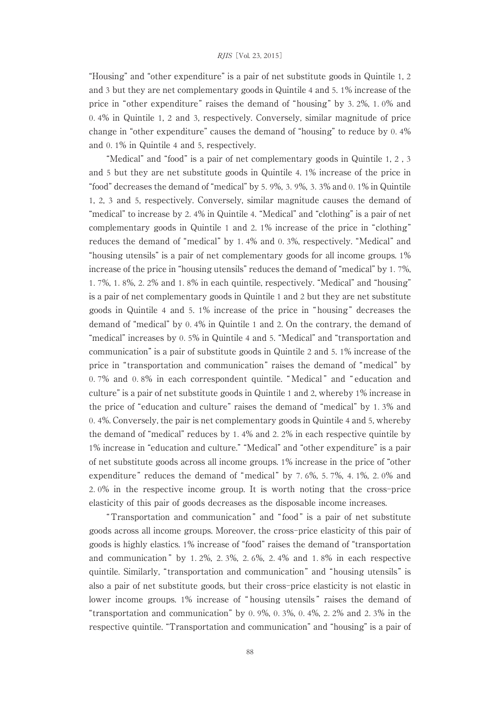"Housing" and "other expenditure" is a pair of net substitute goods in Quintile 1, 2 and 3 but they are net complementary goods in Quintile 4 and 5. 1% increase of the price in "other expenditure" raises the demand of "housing" by 3. 2%, 1. 0% and 0. 4% in Quintile 1, 2 and 3, respectively. Conversely, similar magnitude of price change in "other expenditure" causes the demand of "housing" to reduce by 0. 4% and 0. 1% in Quintile 4 and 5, respectively.

"Medical" and "food" is a pair of net complementary goods in Quintile 1, 2 , 3 and 5 but they are net substitute goods in Quintile 4. 1% increase of the price in "food" decreases the demand of "medical" by 5. 9%, 3. 9%, 3. 3% and 0. 1% in Quintile 1, 2, 3 and 5, respectively. Conversely, similar magnitude causes the demand of "medical" to increase by 2. 4% in Quintile 4. "Medical" and "clothing" is a pair of net complementary goods in Quintile 1 and 2. 1% increase of the price in "clothing" reduces the demand of "medical" by 1. 4% and 0. 3%, respectively. "Medical" and "housing utensils" is a pair of net complementary goods for all income groups. 1% increase of the price in "housing utensils" reduces the demand of "medical" by 1. 7%, 1. 7%, 1. 8%, 2. 2% and 1. 8% in each quintile, respectively. "Medical" and "housing" is a pair of net complementary goods in Quintile 1 and 2 but they are net substitute goods in Quintile 4 and 5. 1% increase of the price in " housing " decreases the demand of "medical" by 0. 4% in Quintile 1 and 2. On the contrary, the demand of "medical" increases by 0. 5% in Quintile 4 and 5. "Medical" and "transportation and communication" is a pair of substitute goods in Quintile 2 and 5. 1% increase of the price in "transportation and communication" raises the demand of "medical" by 0. 7% and 0. 8% in each correspondent quintile. " Medical " and " education and culture" is a pair of net substitute goods in Quintile 1 and 2, whereby 1% increase in the price of "education and culture" raises the demand of "medical" by 1. 3% and 0. 4%. Conversely, the pair is net complementary goods in Quintile 4 and 5, whereby the demand of "medical" reduces by 1. 4% and 2. 2% in each respective quintile by 1% increase in "education and culture." "Medical" and "other expenditure" is a pair of net substitute goods across all income groups. 1% increase in the price of "other expenditure" reduces the demand of "medical" by 7.6%, 5.7%, 4.1%, 2.0% and 2. 0% in the respective income group. It is worth noting that the cross-price elasticity of this pair of goods decreases as the disposable income increases.

"Transportation and communication " and " food " is a pair of net substitute goods across all income groups. Moreover, the cross-price elasticity of this pair of goods is highly elastics. 1% increase of "food" raises the demand of "transportation and communication  $\degree$  by 1.2%, 2.3%, 2.6%, 2.4% and 1.8% in each respective quintile. Similarly, "transportation and communication" and "housing utensils" is also a pair of net substitute goods, but their cross-price elasticity is not elastic in lower income groups. 1% increase of " housing utensils " raises the demand of "transportation and communication" by 0. 9%, 0. 3%, 0. 4%, 2. 2% and 2. 3% in the respective quintile. "Transportation and communication" and "housing" is a pair of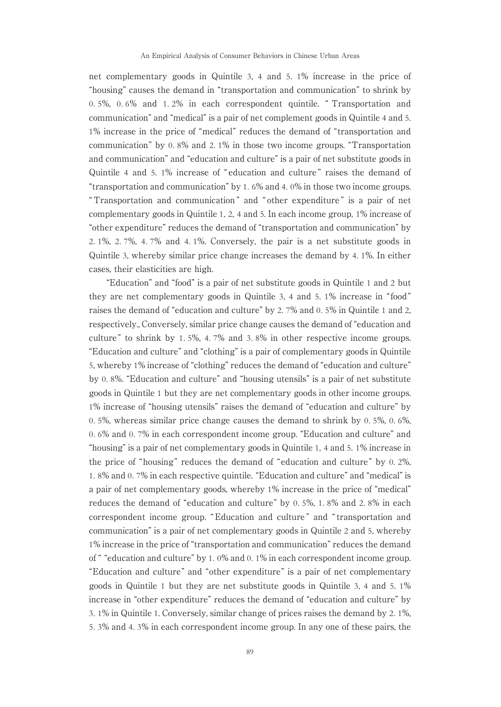net complementary goods in Quintile 3, 4 and 5. 1% increase in the price of "housing" causes the demand in "transportation and communication" to shrink by 0. 5%, 0. 6% and 1. 2% in each correspondent quintile. " Transportation and communication" and "medical" is a pair of net complement goods in Quintile 4 and 5. 1% increase in the price of "medical" reduces the demand of "transportation and communication" by 0. 8% and 2. 1% in those two income groups. "Transportation and communication" and "education and culture" is a pair of net substitute goods in Quintile 4 and 5. 1% increase of " education and culture " raises the demand of "transportation and communication" by 1. 6% and 4. 0% in those two income groups. " Transportation and communication " and " other expenditure " is a pair of net complementary goods in Quintile 1, 2, 4 and 5. In each income group, 1% increase of "other expenditure" reduces the demand of "transportation and communication" by 2. 1%, 2. 7%, 4. 7% and 4. 1%. Conversely, the pair is a net substitute goods in Quintile 3, whereby similar price change increases the demand by 4. 1%. In either cases, their elasticities are high.

"Education" and "food" is a pair of net substitute goods in Quintile 1 and 2 but they are net complementary goods in Quintile 3, 4 and 5. 1% increase in " food" raises the demand of "education and culture" by 2. 7% and 0. 5% in Quintile 1 and 2, respectively., Conversely, similar price change causes the demand of "education and culture " to shrink by 1. 5%, 4. 7% and 3. 8% in other respective income groups. "Education and culture" and "clothing" is a pair of complementary goods in Quintile 5, whereby 1% increase of "clothing" reduces the demand of "education and culture" by 0. 8%. "Education and culture" and "housing utensils" is a pair of net substitute goods in Quintile 1 but they are net complementary goods in other income groups. 1% increase of "housing utensils" raises the demand of "education and culture" by 0. 5%, whereas similar price change causes the demand to shrink by 0. 5%, 0. 6%, 0. 6% and 0. 7% in each correspondent income group. "Education and culture" and "housing" is a pair of net complementary goods in Quintile 1, 4 and 5. 1% increase in the price of "housing" reduces the demand of "education and culture" by 0. 2%, 1. 8% and 0. 7% in each respective quintile. "Education and culture" and "medical" is a pair of net complementary goods, whereby 1% increase in the price of "medical" reduces the demand of "education and culture" by 0. 5%, 1. 8% and 2. 8% in each correspondent income group. " Education and culture " and " transportation and communication" is a pair of net complementary goods in Quintile 2 and 5, whereby 1% increase in the price of "transportation and communication" reduces the demand of " "education and culture" by 1. 0% and 0. 1% in each correspondent income group. "Education and culture" and "other expenditure" is a pair of net complementary goods in Quintile 1 but they are net substitute goods in Quintile 3, 4 and 5. 1% increase in "other expenditure" reduces the demand of "education and culture" by 3. 1% in Quintile 1. Conversely, similar change of prices raises the demand by 2. 1%, 5. 3% and 4. 3% in each correspondent income group. In any one of these pairs, the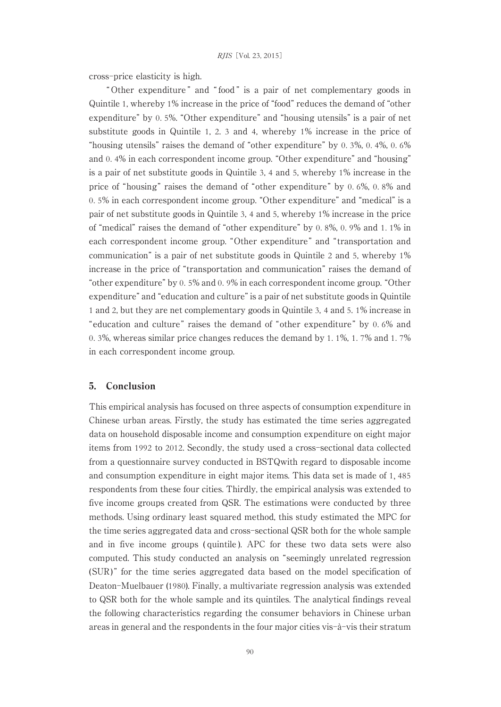cross-price elasticity is high.

" Other expenditure " and " food " is a pair of net complementary goods in Quintile 1, whereby 1% increase in the price of "food" reduces the demand of "other expenditure" by 0. 5%. "Other expenditure" and "housing utensils" is a pair of net substitute goods in Quintile 1, 2. 3 and 4, whereby 1% increase in the price of "housing utensils" raises the demand of "other expenditure" by 0. 3%, 0. 4%, 0. 6% and 0. 4% in each correspondent income group. "Other expenditure" and "housing" is a pair of net substitute goods in Quintile 3, 4 and 5, whereby 1% increase in the price of "housing" raises the demand of "other expenditure" by 0. 6%, 0. 8% and 0. 5% in each correspondent income group. "Other expenditure" and "medical" is a pair of net substitute goods in Quintile 3, 4 and 5, whereby 1% increase in the price of "medical" raises the demand of "other expenditure" by 0. 8%, 0. 9% and 1. 1% in each correspondent income group. "Other expenditure" and "transportation and communication" is a pair of net substitute goods in Quintile 2 and 5, whereby 1% increase in the price of "transportation and communication" raises the demand of "other expenditure" by 0. 5% and 0. 9% in each correspondent income group. "Other expenditure" and "education and culture" is a pair of net substitute goods in Quintile 1 and 2, but they are net complementary goods in Quintile 3, 4 and 5. 1% increase in "education and culture" raises the demand of "other expenditure" by 0. 6% and 0. 3%, whereas similar price changes reduces the demand by 1. 1%, 1. 7% and 1. 7% in each correspondent income group.

# 5. Conclusion

This empirical analysis has focused on three aspects of consumption expenditure in Chinese urban areas. Firstly, the study has estimated the time series aggregated data on household disposable income and consumption expenditure on eight major items from 1992 to 2012. Secondly, the study used a cross-sectional data collected from a questionnaire survey conducted in BSTQwith regard to disposable income and consumption expenditure in eight major items. This data set is made of 1, 485 respondents from these four cities. Thirdly, the empirical analysis was extended to five income groups created from QSR. The estimations were conducted by three methods. Using ordinary least squared method, this study estimated the MPC for the time series aggregated data and cross-sectional QSR both for the whole sample and in five income groups ( quintile ). APC for these two data sets were also computed. This study conducted an analysis on "seemingly unrelated regression (SUR) " for the time series aggregated data based on the model specification of Deaton-Muelbauer (1980). Finally, a multivariate regression analysis was extended to QSR both for the whole sample and its quintiles. The analytical findings reveal the following characteristics regarding the consumer behaviors in Chinese urban areas in general and the respondents in the four major cities vis-à-vis their stratum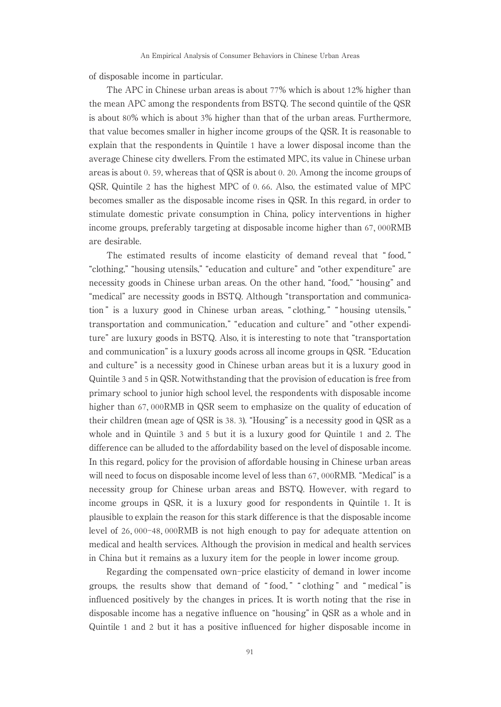of disposable income in particular.

The APC in Chinese urban areas is about 77% which is about 12% higher than the mean APC among the respondents from BSTQ. The second quintile of the QSR is about 80% which is about 3% higher than that of the urban areas. Furthermore, that value becomes smaller in higher income groups of the QSR. It is reasonable to explain that the respondents in Quintile 1 have a lower disposal income than the average Chinese city dwellers. From the estimated MPC, its value in Chinese urban areas is about 0. 59, whereas that of QSR is about 0. 20. Among the income groups of QSR, Quintile 2 has the highest MPC of 0. 66. Also, the estimated value of MPC becomes smaller as the disposable income rises in QSR. In this regard, in order to stimulate domestic private consumption in China, policy interventions in higher income groups, preferably targeting at disposable income higher than 67, 000RMB are desirable.

The estimated results of income elasticity of demand reveal that " food, " "clothing," "housing utensils," "education and culture" and "other expenditure" are necessity goods in Chinese urban areas. On the other hand, "food," "housing" and "medical" are necessity goods in BSTQ. Although "transportation and communication" is a luxury good in Chinese urban areas, "clothing," "housing utensils," transportation and communication," "education and culture" and "other expenditure" are luxury goods in BSTQ. Also, it is interesting to note that "transportation and communication" is a luxury goods across all income groups in QSR. "Education and culture" is a necessity good in Chinese urban areas but it is a luxury good in Quintile 3 and 5 in QSR. Notwithstanding that the provision of education is free from primary school to junior high school level, the respondents with disposable income higher than 67,000RMB in QSR seem to emphasize on the quality of education of their children (mean age of QSR is 38. 3). "Housing" is a necessity good in QSR as a whole and in Quintile 3 and 5 but it is a luxury good for Quintile 1 and 2. The difference can be alluded to the affordability based on the level of disposable income. In this regard, policy for the provision of affordable housing in Chinese urban areas will need to focus on disposable income level of less than 67, 000RMB. "Medical" is a necessity group for Chinese urban areas and BSTQ. However, with regard to income groups in QSR, it is a luxury good for respondents in Quintile 1. It is plausible to explain the reason for this stark difference is that the disposable income level of 26, 000-48, 000RMB is not high enough to pay for adequate attention on medical and health services. Although the provision in medical and health services in China but it remains as a luxury item for the people in lower income group.

Regarding the compensated own-price elasticity of demand in lower income groups, the results show that demand of " food, " " clothing " and " medical " is influenced positively by the changes in prices. It is worth noting that the rise in disposable income has a negative influence on "housing" in QSR as a whole and in Quintile 1 and 2 but it has a positive influenced for higher disposable income in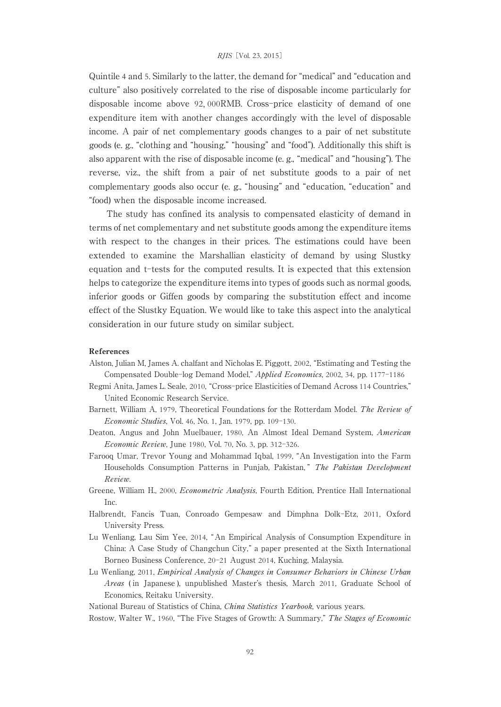Quintile 4 and 5. Similarly to the latter, the demand for "medical" and "education and culture" also positively correlated to the rise of disposable income particularly for disposable income above 92, 000RMB. Cross-price elasticity of demand of one expenditure item with another changes accordingly with the level of disposable income. A pair of net complementary goods changes to a pair of net substitute goods (e. g., "clothing and "housing," "housing" and "food"). Additionally this shift is also apparent with the rise of disposable income (e. g., "medical" and "housing"). The reverse, viz., the shift from a pair of net substitute goods to a pair of net complementary goods also occur (e. g., "housing" and "education, "education" and "food) when the disposable income increased.

The study has confined its analysis to compensated elasticity of demand in terms of net complementary and net substitute goods among the expenditure items with respect to the changes in their prices. The estimations could have been extended to examine the Marshallian elasticity of demand by using Slustky equation and t-tests for the computed results. It is expected that this extension helps to categorize the expenditure items into types of goods such as normal goods, inferior goods or Giffen goods by comparing the substitution effect and income effect of the Slustky Equation. We would like to take this aspect into the analytical consideration in our future study on similar subject.

#### References

- Alston, Julian M, James A. chalfant and Nicholas E. Piggott, 2002, "Estimating and Testing the Compensated Double-log Demand Model," Applied Economics, 2002, 34, pp. 1177-1186
- Regmi Anita, James L. Seale, 2010, "Cross-price Elasticities of Demand Across 114 Countries," United Economic Research Service.
- Barnett, William A, 1979, Theoretical Foundations for the Rotterdam Model. The Reviewof Economic Studies, Vol. 46, No. 1, Jan. 1979, pp. 109-130.
- Deaton, Angus and John Muelbauer, 1980, An Almost Ideal Demand System, American Economic Review, June 1980, Vol. 70, No. 3, pp. 312-326.
- Farooq Umar, Trevor Young and Mohammad Iqbal, 1999, "An Investigation into the Farm Households Consumption Patterns in Punjab, Pakistan," The Pakistan Development Review.
- Greene, William H., 2000, Econometric Analysis, Fourth Edition, Prentice Hall International Inc.
- Halbrendt, Fancis Tuan, Conroado Gempesaw and Dimphna Dolk-Etz, 2011, Oxford University Press.
- Lu Wenliang, Lau Sim Yee, 2014, "An Empirical Analysis of Consumption Expenditure in China: A Case Study of Changchun City," a paper presented at the Sixth International Borneo Business Conference, 20-21 August 2014, Kuching, Malaysia.
- Lu Wenliang, 2011, Empirical Analysis of Changes in Consumer Behaviors in Chinese Urban Areas ( in Japanese ), unpublished Master's thesis, March 2011, Graduate School of Economics, Reitaku University.

National Bureau of Statistics of China, *China Statistics Yearbook*, various years.

Rostow, Walter W., 1960, "The Five Stages of Growth: A Summary," The Stages of Economic